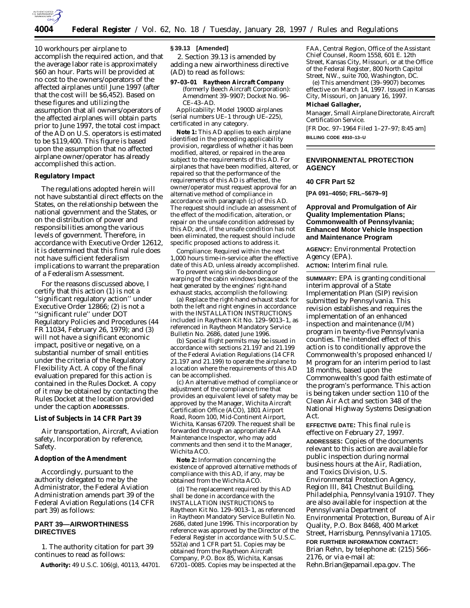

10 workhours per airplane to accomplish the required action, and that the average labor rate is approximately \$60 an hour. Parts will be provided at no cost to the owners/operators of the affected airplanes until June 1997 (after that the cost will be \$6,452). Based on these figures and utilizing the assumption that all owners/operators of the affected airplanes will obtain parts prior to June 1997, the total cost impact of the AD on U.S. operators is estimated to be \$119,400. This figure is based upon the assumption that no affected airplane owner/operator has already accomplished this action.

## **Regulatory Impact**

The regulations adopted herein will not have substantial direct effects on the States, on the relationship between the national government and the States, or on the distribution of power and responsibilities among the various levels of government. Therefore, in accordance with Executive Order 12612, it is determined that this final rule does not have sufficient federalism implications to warrant the preparation of a Federalism Assessment.

For the reasons discussed above, I certify that this action (1) is not a ''significant regulatory action'' under Executive Order 12866; (2) is not a ''significant rule'' under DOT Regulatory Policies and Procedures (44 FR 11034, February 26, 1979); and (3) will not have a significant economic impact, positive or negative, on a substantial number of small entities under the criteria of the Regulatory Flexibility Act. A copy of the final evaluation prepared for this action is contained in the Rules Docket. A copy of it may be obtained by contacting the Rules Docket at the location provided under the caption **ADDRESSES**.

#### **List of Subjects in 14 CFR Part 39**

Air transportation, Aircraft, Aviation safety, Incorporation by reference, Safety.

#### **Adoption of the Amendment**

Accordingly, pursuant to the authority delegated to me by the Administrator, the Federal Aviation Administration amends part 39 of the Federal Aviation Regulations (14 CFR part 39) as follows:

# **PART 39—AIRWORTHINESS DIRECTIVES**

1. The authority citation for part 39 continues to read as follows:

**Authority:** 49 U.S.C. 106(g), 40113, 44701.

#### **§ 39.13 [Amended]**

2. Section 39.13 is amended by adding a new airworthiness directive (AD) to read as follows:

**97–03–01 Raytheon Aircraft Company** (formerly Beech Aircraft Corporation): Amendment 39–9907; Docket No. 96– CE–43–AD.

*Applicability:* Model 1900D airplanes (serial numbers UE–1 through UE–225), certificated in any category.

**Note 1:** This AD applies to each airplane identified in the preceding applicability provision, regardless of whether it has been modified, altered, or repaired in the area subject to the requirements of this AD. For airplanes that have been modified, altered, or repaired so that the performance of the requirements of this AD is affected, the owner/operator must request approval for an alternative method of compliance in accordance with paragraph (c) of this AD. The request should include an assessment of the effect of the modification, alteration, or repair on the unsafe condition addressed by this AD; and, if the unsafe condition has not been eliminated, the request should include specific proposed actions to address it.

*Compliance:* Required within the next 1,000 hours time-in-service after the effective date of this AD, unless already accomplished.

To prevent wing skin de-bonding or warping of the cabin windows because of the heat generated by the engines' right-hand exhaust stacks, accomplish the following:

(a) Replace the right-hand exhaust stack for both the left and right engines in accordance with the INSTALLATION INSTRUCTIONS included in Raytheon Kit No. 129–9013–1, as referenced in Raytheon Mandatory Service Bulletin No. 2686, dated June 1996.

(b) Special flight permits may be issued in accordance with sections 21.197 and 21.199 of the Federal Aviation Regulations (14 CFR 21.197 and 21.199) to operate the airplane to a location where the requirements of this AD can be accomplished.

(c) An alternative method of compliance or adjustment of the compliance time that provides an equivalent level of safety may be approved by the Manager, Wichita Aircraft Certification Office (ACO), 1801 Airport Road, Room 100, Mid-Continent Airport, Wichita, Kansas 67209. The request shall be forwarded through an appropriate FAA Maintenance Inspector, who may add comments and then send it to the Manager, Wichita ACO.

**Note 2:** Information concerning the existence of approved alternative methods of compliance with this AD, if any, may be obtained from the Wichita ACO.

(d) The replacement required by this AD shall be done in accordance with the INSTALLATION INSTRUCTIONS to Raytheon Kit No. 129–9013–1, as referenced in Raytheon Mandatory Service Bulletin No. 2686, dated June 1996. This incorporation by reference was approved by the Director of the Federal Register in accordance with 5 U.S.C. 552(a) and 1 CFR part 51. Copies may be obtained from the Raytheon Aircraft Company, P.O. Box 85, Wichita, Kansas  $67201 - 0085$ . Copies may be inspected at the

FAA, Central Region, Office of the Assistant Chief Counsel, Room 1558, 601 E. 12th Street, Kansas City, Missouri, or at the Office of the Federal Register, 800 North Capitol Street, NW., suite 700, Washington, DC.

(e) This amendment (39–9907) becomes effective on March 14, 1997. Issued in Kansas City, Missouri, on January 16, 1997.

**Michael Gallagher,**

*Manager, Small Airplane Directorate, Aircraft Certification Service.*

[FR Doc. 97–1964 Filed 1–27–97; 8:45 am] **BILLING CODE 4910–13–U**

## **ENVIRONMENTAL PROTECTION AGENCY**

#### **40 CFR Part 52**

**[PA 091–4050; FRL–5679–9]**

## **Approval and Promulgation of Air Quality Implementation Plans; Commonwealth of Pennsylvania; Enhanced Motor Vehicle Inspection and Maintenance Program**

**AGENCY:** Environmental Protection Agency (EPA).

**ACTION:** Interim final rule.

**SUMMARY:** EPA is granting conditional interim approval of a State Implementation Plan (SIP) revision submitted by Pennsylvania. This revision establishes and requires the implementation of an enhanced inspection and maintenance (I/M) program in twenty-five Pennsylvania counties. The intended effect of this action is to conditionally approve the Commonwealth's proposed enhanced I/ M program for an interim period to last 18 months, based upon the Commonwealth's good faith estimate of the program's performance. This action is being taken under section 110 of the Clean Air Act and section 348 of the National Highway Systems Designation Act.

**EFFECTIVE DATE:** This final rule is effective on February 27, 1997. **ADDRESSES:** Copies of the documents relevant to this action are available for public inspection during normal business hours at the Air, Radiation, and Toxics Division, U.S. Environmental Protection Agency, Region III, 841 Chestnut Building, Philadelphia, Pennsylvania 19107. They are also available for inspection at the Pennsylvania Department of Environmental Protection, Bureau of Air Quality, P.O. Box 8468, 400 Market Street, Harrisburg, Pennsylvania 17105. **FOR FURTHER INFORMATION CONTACT:** Brian Rehn, by telephone at: (215) 566–

2176, or via e-mail at:

Rehn.Brian@epamail.epa.gov. The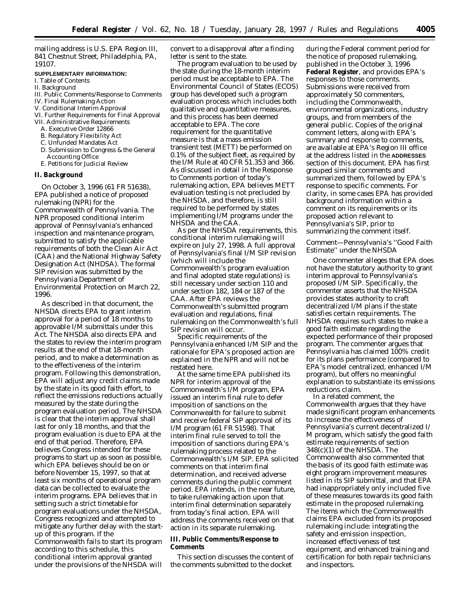mailing address is U.S. EPA Region III, 841 Chestnut Street, Philadelphia, PA, 19107.

#### **SUPPLEMENTARY INFORMATION:**

- I. Table of Contents
- II. Background
- III. Public Comments/Response to Comments
- IV. Final Rulemaking Action
- V. Conditional Interim Approval
- VI. Further Requirements for Final Approval
- VII. Administrative Requirements
	- A. Executive Order 12866
	- B. Regulatory Flexibility Act
	- C. Unfunded Mandates Act
	- D. Submission to Congress & the General
	- Accounting Office
	- E. Petitions for Judicial Review

#### **II. Background**

On October 3, 1996 (61 FR 51638), EPA published a notice of proposed rulemaking (NPR) for the Commonwealth of Pennsylvania. The NPR proposed conditional interim approval of Pennsylvania's enhanced inspection and maintenance program, submitted to satisfy the applicable requirements of both the Clean Air Act (CAA) and the National Highway Safety Designation Act (NHDSA). The formal SIP revision was submitted by the Pennsylvania Department of Environmental Protection on March 22, 1996.

As described in that document, the NHSDA directs EPA to grant interim approval for a period of 18 months to approvable I/M submittals under this Act. The NHSDA also directs EPA and the states to review the interim program results at the end of that 18-month period, and to make a determination as to the effectiveness of the interim program. Following this demonstration, EPA will adjust any credit claims made by the state in its good faith effort, to reflect the emissions reductions actually measured by the state during the program evaluation period. The NHSDA is clear that the interim approval shall last for only 18 months, and that the program evaluation is due to EPA at the end of that period. Therefore, EPA believes Congress intended for these programs to start up as soon as possible, which EPA believes should be on or before November 15, 1997, so that at least six months of operational program data can be collected to evaluate the interim programs. EPA believes that in setting such a strict timetable for program evaluations under the NHSDA, Congress recognized and attempted to mitigate any further delay with the startup of this program. If the Commonwealth fails to start its program according to this schedule, this conditional interim approval granted under the provisions of the NHSDA will convert to a disapproval after a finding letter is sent to the state.

The program evaluation to be used by the state during the 18-month interim period must be acceptable to EPA. The Environmental Council of States (ECOS) group has developed such a program evaluation process which includes both qualitative and quantitative measures, and this process has been deemed acceptable to EPA. The core requirement for the quantitative measure is that a mass emission transient test (METT) be performed on 0.1% of the subject fleet, as required by the I/M Rule at 40 CFR 51.353 and 366. As discussed in detail in the Response to Comments portion of today's rulemaking action, EPA believes METT evaluation testing is not precluded by the NHSDA, and therefore, is still required to be performed by states implementing I/M programs under the NHSDA and the CAA.

As per the NHSDA requirements, this conditional interim rulemaking will expire on July 27, 1998. A full approval of Pennsylvania's final I/M SIP revision (which will include the Commonwealth's program evaluation and final adopted state regulations) is still necessary under section 110 and under section 182, 184 or 187 of the CAA. After EPA reviews the Commonwealth's submitted program evaluation and regulations, final rulemaking on the Commonwealth's full SIP revision will occur.

Specific requirements of the Pennsylvania enhanced I/M SIP and the rationale for EPA's proposed action are explained in the NPR and will not be restated here.

At the same time EPA published its NPR for interim approval of the Commonwealth's I/M program, EPA issued an interim final rule to defer imposition of sanctions on the Commonwealth for failure to submit and receive federal SIP approval of its I/M program (61 FR 51598). That interim final rule served to toll the imposition of sanctions during EPA's rulemaking process related to the Commonwealth's I/M SIP. EPA solicited comments on that interim final determination, and received adverse comments during the public comment period. EPA intends, in the near future, to take rulemaking action upon that interim final determination separately from today's final action. EPA will address the comments received on that action in its separate rulemaking.

#### **III. Public Comments/Response to Comments**

This section discusses the content of the comments submitted to the docket

during the Federal comment period for the notice of proposed rulemaking, published in the October 3, 1996 **Federal Register**, and provides EPA's responses to those comments. Submissions were received from approximately 50 commenters, including the Commonwealth, environmental organizations, industry groups, and from members of the general public. Copies of the original comment letters, along with EPA's summary and response to comments, are available at EPA's Region III office at the address listed in the **ADDRESSES** section of this document. EPA has first grouped similar comments and summarized them, followed by EPA's response to specific comments. For clarity, in some cases EPA has provided background information within a comment on its requirements or its proposed action relevant to Pennsylvania's SIP, prior to summarizing the comment itself.

### *Comment—Pennsylvania's ''Good Faith Estimate'' under the NHSDA*

One commenter alleges that EPA does not have the statutory authority to grant interim approval to Pennsylvania's proposed I/M SIP. Specifically, the commenter asserts that the NHSDA provides states authority to craft decentralized I/M plans if the state satisfies certain requirements. The NHSDA requires such states to make a good faith estimate regarding the expected performance of their proposed program. The commenter argues that Pennsylvania has claimed 100% credit for its plans performance (compared to EPA's model centralized, enhanced I/M program), but offers no meaningful explanation to substantiate its emissions reductions claim.

In a related comment, the Commonwealth argues that they have made significant program enhancements to increase the effectiveness of Pennsylvania's current decentralized I/ M program, which satisfy the good faith estimate requirements of section 348(c)(1) of the NHSDA. The Commonwealth also commented that the basis of its good faith estimate was eight program improvement measures listed in its SIP submittal, and that EPA had inappropriately only included five of these measures towards its good faith estimate in the proposed rulemaking. The items which the Commonwealth claims EPA excluded from its proposed rulemaking include: integrating the safety and emission inspection, increased effectiveness of test equipment, and enhanced training and certification for both repair technicians and inspectors.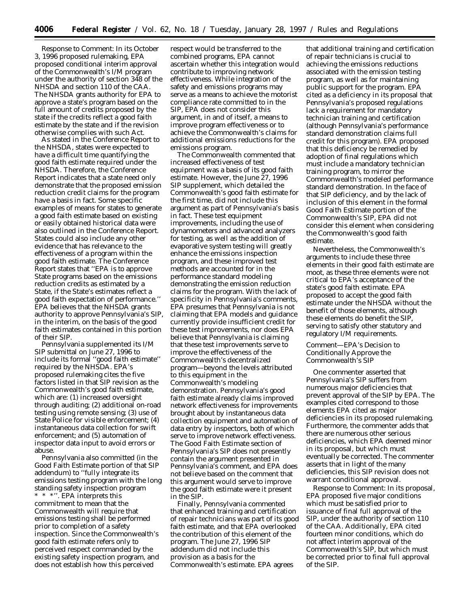*Response to Comment:* In its October 3, 1996 proposed rulemaking, EPA proposed conditional interim approval of the Commonwealth's I/M program under the authority of section 348 of the NHSDA and section 110 of the CAA. The NHSDA grants authority for EPA to approve a state's program based on the full amount of credits proposed by the state if the credits reflect a good faith estimate by the state and if the revision otherwise complies with such Act.

As stated in the Conference Report to the NHSDA, states were expected to have a difficult time quantifying the good faith estimate required under the NHSDA. Therefore, the Conference Report indicates that a state need only demonstrate that the proposed emission reduction credit claims for the program have a basis in fact. Some specific examples of means for states to generate a good faith estimate based on existing or easily obtained historical data were also outlined in the Conference Report. States could also include any other evidence that has relevance to the effectiveness of a program within the good faith estimate. The Conference Report states that ''EPA is to approve State programs based on the emissions reduction credits as estimated by a State, if the State's estimates reflect a good faith expectation of performance.'' EPA believes that the NHSDA grants authority to approve Pennsylvania's SIP, in the interim, on the basis of the good faith estimates contained in this portion of their SIP.

Pennsylvania supplemented its I/M SIP submittal on June 27, 1996 to include its formal ''good faith estimate'' required by the NHSDA. EPA's proposed rulemaking cites the five factors listed in that SIP revision as the Commonwealth's good faith estimate, which are: (1) increased oversight through auditing; (2) additional on-road testing using remote sensing; (3) use of State Police for visible enforcement; (4) instantaneous data collection for swift enforcement; and (5) automation of inspector data input to avoid errors or abuse.

Pennsylvania also committed (in the Good Faith Estimate portion of that SIP addendum) to ''fully integrate its emissions testing program with the long standing safety inspection program \* \* \*''. EPA interprets this commitment to mean that the Commonwealth will require that emissions testing shall be performed prior to completion of a safety inspection. Since the Commonwealth's good faith estimate refers only to perceived respect commanded by the existing safety inspection program, and does not establish how this perceived

respect would be transferred to the combined programs, EPA cannot ascertain whether this integration would contribute to improving network effectiveness. While integration of the safety and emissions programs may serve as a means to achieve the motorist compliance rate committed to in the SIP, EPA does not consider this argument, in and of itself, a means to improve program effectiveness or to achieve the Commonwealth's claims for additional emissions reductions for the emissions program.

The Commonwealth commented that increased effectiveness of test equipment was a basis of its good faith estimate. However, the June 27, 1996 SIP supplement, which detailed the Commonwealth's good faith estimate for the first time, did not include this argument as part of Pennsylvania's basis in fact. These test equipment improvements, including the use of dynamometers and advanced analyzers for testing, as well as the addition of evaporative system testing will greatly enhance the emissions inspection program, and these improved test methods are accounted for in the performance standard modeling demonstrating the emission reduction claims for the program. With the lack of specificity in Pennsylvania's comments, EPA presumes that Pennsylvania is not claiming that EPA models and guidance currently provide insufficient credit for these test improvements, nor does EPA believe that Pennsylvania is claiming that these test improvements serve to improve the effectiveness of the Commonwealth's decentralized program—beyond the levels attributed to this equipment in the Commonwealth's modeling demonstration. Pennsylvania's good faith estimate already claims improved network effectiveness for improvements brought about by instantaneous data collection equipment and automation of data entry by inspectors, both of which serve to improve network effectiveness. The Good Faith Estimate section of Pennsylvania's SIP does not presently contain the argument presented in Pennsylvania's comment, and EPA does not believe based on the comment that this argument would serve to improve the good faith estimate were it present in the SIP.

Finally, Pennsylvania commented that enhanced training and certification of repair technicians was part of its good faith estimate, and that EPA overlooked the contribution of this element of the program. The June 27, 1996 SIP addendum did not include this provision as a basis for the Commonwealth's estimate. EPA agrees

that additional training and certification of repair technicians is crucial to achieving the emissions reductions associated with the emission testing program, as well as for maintaining public support for the program. EPA cited as a deficiency in its proposal that Pennsylvania's proposed regulations lack a requirement for mandatory technician training and certification (although Pennsylvania's performance standard demonstration claims full credit for this program). EPA proposed that this deficiency be remedied by adoption of final regulations which must include a mandatory technician training program, to mirror the Commonwealth's modeled performance standard demonstration. In the face of that SIP deficiency, and by the lack of inclusion of this element in the formal Good Faith Estimate portion of the Commonwealth's SIP, EPA did not consider this element when considering the Commonwealth's good faith estimate.

Nevertheless, the Commonwealth's arguments to include these three elements in their good faith estimate are moot, as these three elements were not critical to EPA's acceptance of the state's good faith estimate. EPA proposed to accept the good faith estimate under the NHSDA without the benefit of those elements, although these elements do benefit the SIP, serving to satisfy other statutory and regulatory I/M requirements.

## *Comment—EPA's Decision to Conditionally Approve the Commonwealth's SIP*

One commenter asserted that Pennsylvania's SIP suffers from numerous major deficiencies that prevent approval of the SIP by EPA. The examples cited correspond to those elements EPA cited as major deficiencies in its proposed rulemaking. Furthermore, the commenter adds that there are numerous other serious deficiencies, which EPA deemed minor in its proposal, but which must eventually be corrected. The commenter asserts that in light of the many deficiencies, this SIP revision does not warrant conditional approval.

*Response to Comment:* In its proposal, EPA proposed five major conditions which must be satisfied prior to issuance of final full approval of the SIP, under the authority of section 110 of the CAA. Additionally, EPA cited fourteen minor conditions, which do not affect interim approval of the Commonwealth's SIP, but which must be corrected prior to final full approval of the SIP.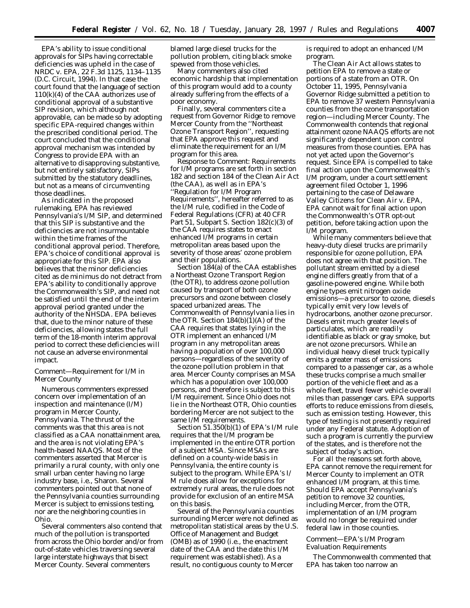EPA's ability to issue conditional approvals for SIPs having correctable deficiencies was upheld in the case of NRDC v. EPA, 22 F.3d 1125, 1134–1135 (D.C. Circuit, 1994). In that case the court found that the language of section 110(k)(4) of the CAA authorizes use of conditional approval of a substantive SIP revision, which although not approvable, can be made so by adopting specific EPA-required changes within the prescribed conditional period. The court concluded that the conditional approval mechanism was intended by Congress to provide EPA with an alternative to disapproving substantive, but not entirely satisfactory, SIPs submitted by the statutory deadlines, but not as a means of circumventing those deadlines.

As indicated in the proposed rulemaking, EPA has reviewed Pennsylvania's I/M SIP, and determined that this SIP is substantive and the deficiencies are not insurmountable within the time frames of the conditional approval period. Therefore, EPA's choice of conditional approval is appropriate for this SIP. EPA also believes that the minor deficiencies cited as de minimus do not detract from EPA's ability to conditionally approve the Commonwealth's SIP, and need not be satisfied until the end of the interim approval period granted under the authority of the NHSDA. EPA believes that, due to the minor nature of these deficiencies, allowing states the full term of the 18-month interim approval period to correct these deficiencies will not cause an adverse environmental impact.

## *Comment—Requirement for I/M in Mercer County*

Numerous commenters expressed concern over implementation of an inspection and maintenance (I/M) program in Mercer County, Pennsylvania. The thrust of the comments was that this area is not classified as a CAA nonattainment area, and the area is not violating EPA's health-based NAAQS. Most of the commenters asserted that Mercer is primarily a rural county, with only one small urban center having no large industry base, i.e., Sharon. Several commenters pointed out that none of the Pennsylvania counties surrounding Mercer is subject to emissions testing, nor are the neighboring counties in Ohio.

Several commenters also contend that much of the pollution is transported from across the Ohio border and/or from out-of-state vehicles traversing several large interstate highways that bisect Mercer County. Several commenters

blamed large diesel trucks for the pollution problem, citing black smoke spewed from those vehicles.

Many commenters also cited economic hardship that implementation of this program would add to a county already suffering from the effects of a poor economy.

Finally, several commenters cite a request from Governor Ridge to remove Mercer County from the ''Northeast Ozone Transport Region'', requesting that EPA approve this request and eliminate the requirement for an I/M program for this area.

*Response to Comment:* Requirements for I/M programs are set forth in section 182 and section 184 of the Clean Air Act (the CAA), as well as in EPA's ''Regulation for I/M Program Requirements'', hereafter referred to as the I/M rule, codified in the Code of Federal Regulations (CFR) at 40 CFR Part 51, Subpart S. Section 182(c)(3) of the CAA requires states to enact enhanced I/M programs in certain metropolitan areas based upon the severity of those areas' ozone problem and their populations.

Section 184(a) of the CAA establishes a Northeast Ozone Transport Region (the OTR), to address ozone pollution caused by transport of both ozone precursors and ozone between closely spaced urbanized areas. The Commonwealth of Pennsylvania lies in the OTR. Section 184(b)(1)(A) of the CAA requires that states lying in the OTR implement an enhanced I/M program in any metropolitan areas having a population of over 100,000 persons—regardless of the severity of the ozone pollution problem in that area. Mercer County comprises an MSA which has a population over 100,000 persons, and therefore is subject to this I/M requirement. Since Ohio does not lie in the Northeast OTR, Ohio counties bordering Mercer are not subject to the same I/M requirements.

Section 51.350(b)(1) of EPA's I/M rule requires that the I/M program be implemented in the entire OTR portion of a subject MSA. Since MSAs are defined on a county-wide basis in Pennsylvania, the entire county is subject to the program. While EPA's I/ M rule does allow for exceptions for extremely rural areas, the rule does not provide for exclusion of an entire MSA on this basis.

Several of the Pennsylvania counties surrounding Mercer were not defined as metropolitan statistical areas by the U.S. Office of Management and Budget (OMB) as of 1990 (i.e., the enactment date of the CAA and the date this I/M requirement was established). As a result, no contiguous county to Mercer

is required to adopt an enhanced I/M program.

The Clean Air Act allows states to petition EPA to remove a state or portions of a state from an OTR. On October 11, 1995, Pennsylvania Governor Ridge submitted a petition to EPA to remove 37 western Pennsylvania counties from the ozone transportation region—including Mercer County. The Commonwealth contends that regional attainment ozone NAAQS efforts are not significantly dependent upon control measures from those counties. EPA has not yet acted upon the Governor's request. Since EPA is compelled to take final action upon the Commonwealth's I/M program, under a court settlement agreement filed October 1, 1996 pertaining to the case of Delaware Valley Citizens for Clean Air v. EPA, EPA cannot wait for final action upon the Commonwealth's OTR opt-out petition, before taking action upon the I/M program.

While many commenters believe that heavy-duty diesel trucks are primarily responsible for ozone pollution, EPA does not agree with that position. The pollutant stream emitted by a diesel engine differs greatly from that of a gasoline-powered engine. While both engine types emit nitrogen oxide emissions—a precursor to ozone, diesels typically emit very low levels of hydrocarbons, another ozone precursor. Diesels emit much greater levels of particulates, which are readily identifiable as black or gray smoke, but are not ozone precursors. While an individual heavy diesel truck typically emits a greater mass of emissions compared to a passenger car, as a whole these trucks comprise a much smaller portion of the vehicle fleet and as a whole fleet, travel fewer vehicle overall miles than passenger cars. EPA supports efforts to reduce emissions from diesels, such as emission testing. However, this type of testing is not presently required under any Federal statute. Adoption of such a program is currently the purview of the states, and is therefore not the subject of today's action.

For all the reasons set forth above, EPA cannot remove the requirement for Mercer County to implement an OTR enhanced I/M program, at this time. Should EPA accept Pennsylvania's petition to remove 32 counties, including Mercer, from the OTR, implementation of an I/M program would no longer be required under federal law in those counties.

# *Comment—EPA's I/M Program Evaluation Requirements*

The Commonwealth commented that EPA has taken too narrow an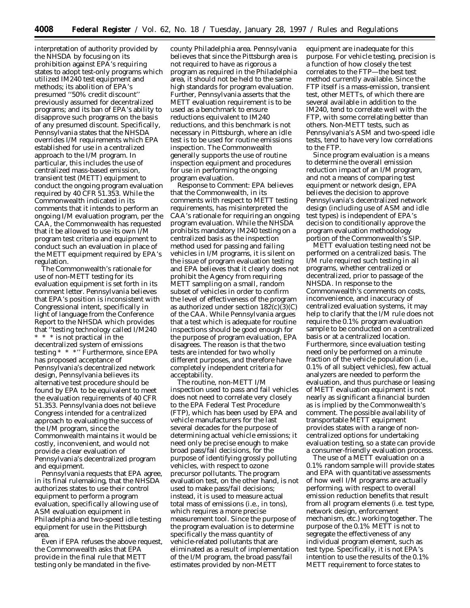interpretation of authority provided by the NHSDA by focusing on its prohibition against EPA's requiring states to adopt test-only programs which utilized IM240 test equipment and methods; its abolition of EPA's presumed ''50% credit discount'' previously assumed for decentralized programs; and its ban of EPA's ability to disapprove such programs on the basis of any presumed discount. Specifically, Pennsylvania states that the NHSDA overrides I/M requirements which EPA established for use in a centralized approach to the I/M program. In particular, this includes the use of centralized mass-based emission, transient test (METT) equipment to conduct the ongoing program evaluation required by 40 CFR 51.353. While the Commonwealth indicated in its comments that it intends to perform an ongoing I/M evaluation program, per the CAA, the Commonwealth has requested that it be allowed to use its own I/M program test criteria and equipment to conduct such an evaluation in place of the METT equipment required by EPA's regulation.

The Commonwealth's rationale for use of non-METT testing for its evaluation equipment is set forth in its comment letter. Pennsylvania believes that EPA's position is inconsistent with Congressional intent, specifically in light of language from the Conference Report to the NHSDA which provides that ''testing technology called I/M240 \* \* \* is not practical in the decentralized system of emissions testing \* \* \*'' Furthermore, since EPA has proposed acceptance of Pennsylvania's decentralized network design, Pennsylvania believes its alternative test procedure should be found by EPA to be equivalent to meet the evaluation requirements of 40 CFR 51.353. Pennsylvania does not believe Congress intended for a centralized approach to evaluating the success of the I/M program, since the Commonwealth maintains it would be costly, inconvenient, and would not provide a clear evaluation of Pennsylvania's decentralized program and equipment.

Pennsylvania requests that EPA agree, in its final rulemaking, that the NHSDA authorizes states to use their control equipment to perform a program evaluation, specifically allowing use of ASM evaluation equipment in Philadelphia and two-speed idle testing equipment for use in the Pittsburgh area.

Even if EPA refuses the above request, the Commonwealth asks that EPA provide in the final rule that METT testing only be mandated in the five-

county Philadelphia area. Pennsylvania believes that since the Pittsburgh area is not required to have as rigorous a program as required in the Philadelphia area, it should not be held to the same high standards for program evaluation. Further, Pennsylvania asserts that the METT evaluation requirement is to be used as a benchmark to ensure reductions equivalent to IM240 reductions, and this benchmark is not necessary in Pittsburgh, where an idle test is to be used for routine emissions inspection. The Commonwealth generally supports the use of routine inspection equipment and procedures for use in performing the ongoing program evaluation.

*Response to Comment:* EPA believes that the Commonwealth, in its comments with respect to METT testing requirements, has misinterpreted the CAA's rationale for requiring an ongoing program evaluation. While the NHSDA prohibits mandatory IM240 testing on a centralized basis as the inspection method used for passing and failing vehicles in I/M programs, it is silent on the issue of program evaluation testing and EPA believes that it clearly does not prohibit the Agency from requiring METT sampling on a small, random subset of vehicles in order to confirm the level of effectiveness of the program as authorized under section  $182(c)(3)(C)$ of the CAA. While Pennsylvania argues that a test which is adequate for routine inspections should be good enough for the purpose of program evaluation, EPA disagrees. The reason is that the two tests are intended for two wholly different purposes, and therefore have completely independent criteria for acceptability.

The routine, non-METT I/M inspection used to pass and fail vehicles does not need to correlate very closely to the EPA Federal Test Procedure (FTP), which has been used by EPA and vehicle manufacturers for the last several decades for the purpose of determining actual vehicle emissions; it need only be precise enough to make broad pass/fail decisions, for the purpose of identifying grossly polluting vehicles, with respect to ozone precursor pollutants. The program evaluation test, on the other hand, is not used to make pass/fail decisions; instead, it is used to measure actual total mass of emissions (i.e., in tons), which requires a more precise measurement tool. Since the purpose of the program evaluation is to determine specifically the mass quantity of vehicle-related pollutants that are eliminated as a result of implementation of the I/M program, the broad pass/fail estimates provided by non-METT

equipment are inadequate for this purpose. For vehicle testing, precision is a function of how closely the test correlates to the FTP—the best test method currently available. Since the FTP itself is a mass-emission, transient test, other METTs, of which there are several available in addition to the IM240, tend to correlate well with the FTP, with some correlating better than others. Non-METT tests, such as Pennsylvania's ASM and two-speed idle tests, tend to have very low correlations to the FTP.

Since program evaluation is a means to determine the overall emission reduction impact of an I/M program, and not a means of comparing test equipment or network design, EPA believes the decision to approve Pennsylvania's decentralized network design (including use of ASM and idle test types) is independent of EPA's decision to conditionally approve the program evaluation methodology portion of the Commonwealth's SIP.

METT evaluation testing need not be performed on a centralized basis. The I/M rule required such testing in all programs, whether centralized or decentralized, prior to passage of the NHSDA. In response to the Commonwealth's comments on costs, inconvenience, and inaccuracy of centralized evaluation systems, it may help to clarify that the I/M rule does not require the 0.1% program evaluation sample to be conducted on a centralized basis or at a centralized location. Furthermore, since evaluation testing need only be performed on a minute fraction of the vehicle population (i.e., 0.1% of all subject vehicles), few actual analyzers are needed to perform the evaluation, and thus purchase or leasing of METT evaluation equipment is not nearly as significant a financial burden as is implied by the Commonwealth's comment. The possible availability of transportable METT equipment provides states with a range of noncentralized options for undertaking evaluation testing, so a state can provide a consumer-friendly evaluation process.

The use of a METT evaluation on a 0.1% random sample will provide states and EPA with quantitative assessments of how well I/M programs are actually performing, with respect to overall emission reduction benefits that result from all program elements (i.e. test type, network design, enforcement mechanism, etc.) working together. The purpose of the 0.1% METT is not to segregate the effectiveness of any individual program element, such as test type. Specifically, it is not EPA's intention to use the results of the 0.1% METT requirement to force states to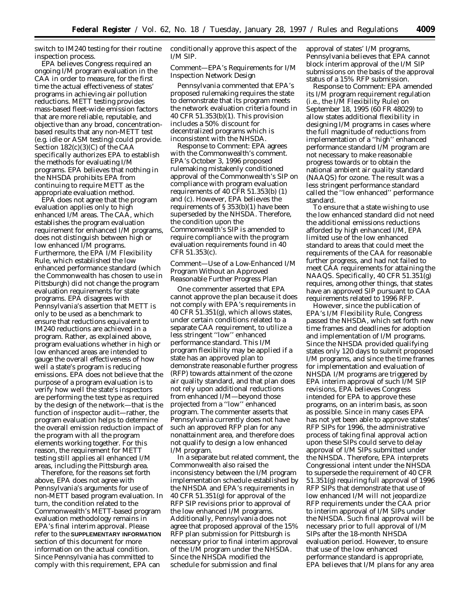switch to IM240 testing for their routine inspection process.

EPA believes Congress required an ongoing I/M program evaluation in the CAA in order to measure, for the first time the actual effectiveness of states' programs in achieving air pollution reductions. METT testing provides mass-based fleet-wide emission factors that are more reliable, reputable, and objective than any broad, concentrationbased results that any non-METT test (e.g. idle or ASM testing) could provide. Section 182(c)(3)(C) of the CAA specifically authorizes EPA to establish the methods for evaluating I/M programs. EPA believes that nothing in the NHSDA prohibits EPA from continuing to require METT as the appropriate evaluation method.

EPA does not agree that the program evaluation applies only to high enhanced I/M areas. The CAA, which establishes the program evaluation requirement for enhanced I/M programs, does not distinguish between high or low enhanced I/M programs. Furthermore, the EPA I/M Flexibility Rule, which established the low enhanced performance standard (which the Commonwealth has chosen to use in Pittsburgh) did not change the program evaluation requirements for state programs. EPA disagrees with Pennsylvania's assertion that METT is only to be used as a benchmark to ensure that reductions equivalent to IM240 reductions are achieved in a program. Rather, as explained above, program evaluations whether in high or low enhanced areas are intended to gauge the overall effectiveness of how well a state's program is reducing emissions. EPA does not believe that the purpose of a program evaluation is to verify how well the state's inspectors are performing the test type as required by the design of the network—that is the function of inspector audit—rather, the program evaluation helps to determine the overall emission reduction impact of the program with all the program elements working together. For this reason, the requirement for METT testing still applies all enhanced I/M areas, including the Pittsburgh area.

Therefore, for the reasons set forth above, EPA does not agree with Pennsylvania's arguments for use of non-METT based program evaluation. In turn, the condition related to the Commonwealth's METT-based program evaluation methodology remains in EPA's final interim approval. Please refer to the **SUPPLEMENTARY INFORMATION** section of this document for more information on the actual condition. Since Pennsylvania has committed to comply with this requirement, EPA can

conditionally approve this aspect of the I/M SIP.

### *Comment—EPA's Requirements for I/M Inspection Network Design*

Pennsylvania commented that EPA's proposed rulemaking requires the state to demonstrate that its program meets the network evaluation criteria found in 40 CFR 51.353(b)(1). This provision includes a 50% discount for decentralized programs which is inconsistent with the NHSDA.

*Response to Comment:* EPA agrees with the Commonwealth's comment. EPA's October 3, 1996 proposed rulemaking mistakenly conditioned approval of the Commonwealth's SIP on compliance with program evaluation requirements of 40 CFR 51.353(b) (1) and (c). However, EPA believes the requirements of § 353(b)(1) have been superseded by the NHSDA. Therefore, the condition upon the Commonwealth's SIP is amended to require compliance with the program evaluation requirements found in 40 CFR 51.353(c).

## *Comment—Use of a Low-Enhanced I/M Program Without an Approved Reasonable Further Progress Plan*

One commenter asserted that EPA cannot approve the plan because it does not comply with EPA's requirements in 40 CFR 51.351(g), which allows states, under certain conditions related to a separate CAA requirement, to utilize a less stringent ''low'' enhanced performance standard. This I/M program flexibility may be applied if a state has an approved plan to demonstrate reasonable further progress (RFP) towards attainment of the ozone air quality standard, and that plan does not rely upon additional reductions from enhanced I/M—beyond those projected from a ''low'' enhanced program. The commenter asserts that Pennsylvania currently does not have such an approved RFP plan for any nonattainment area, and therefore does not qualify to design a low enhanced I/M program.

In a separate but related comment, the Commonwealth also raised the inconsistency between the I/M program implementation schedule established by the NHSDA and EPA's requirements in 40 CFR 51.351(g) for approval of the RFP SIP revisions prior to approval of the low enhanced I/M programs. Additionally, Pennsylvania does not agree that proposed approval of the 15% RFP plan submission for Pittsburgh is necessary prior to final interim approval of the I/M program under the NHSDA. Since the NHSDA modified the schedule for submission and final

approval of states' I/M programs, Pennsylvania believes that EPA cannot block interim approval of the I/M SIP submissions on the basis of the approval status of a 15% RFP submission.

*Response to Comment:* EPA amended its I/M program requirement regulation (i.e., the I/M Flexibility Rule) on September 18, 1995 (60 FR 48029) to allow states additional flexibility in designing I/M programs in cases where the full magnitude of reductions from implementation of a ''high'' enhanced performance standard I/M program are not necessary to make reasonable progress towards or to obtain the national ambient air quality standard (NAAQS) for ozone. The result was a less stringent performance standard called the ''low enhanced'' performance standard.

To ensure that a state wishing to use the low enhanced standard did not need the additional emissions reductions afforded by high enhanced I/M, EPA limited use of the low enhanced standard to areas that could meet the requirements of the CAA for reasonable further progress, and had not failed to meet CAA requirements for attaining the NAAQS. Specifically, 40 CFR  $51.35\overline{1}$ (g) requires, among other things, that states have an approved SIP pursuant to CAA requirements related to 1996 RFP.

However, since the publication of EPA's I/M Flexibility Rule, Congress passed the NHSDA, which set forth new time frames and deadlines for adoption and implementation of I/M programs. Since the NHSDA provided qualifying states only 120 days to submit proposed I/M programs, and since the time frames for implementation and evaluation of NHSDA I/M programs are triggered by EPA interim approval of such I/M SIP revisions, EPA believes Congress intended for EPA to approve these programs, on an interim basis, as soon as possible. Since in many cases EPA has not yet been able to approve states' RFP SIPs for 1996, the administrative process of taking final approval action upon these SIPs could serve to delay approval of I/M SIPs submitted under the NHSDA. Therefore, EPA interprets Congressional intent under the NHSDA to supersede the requirement of 40 CFR 51.351(g) requiring full approval of 1996 RFP SIPs that demonstrate that use of low enhanced I/M will not jeopardize RFP requirements under the CAA prior to interim approval of I/M SIPs under the NHSDA. Such final approval will be necessary prior to full approval of I/M SIPs after the 18-month NHSDA evaluation period. However, to ensure that use of the low enhanced performance standard is appropriate, EPA believes that I/M plans for any area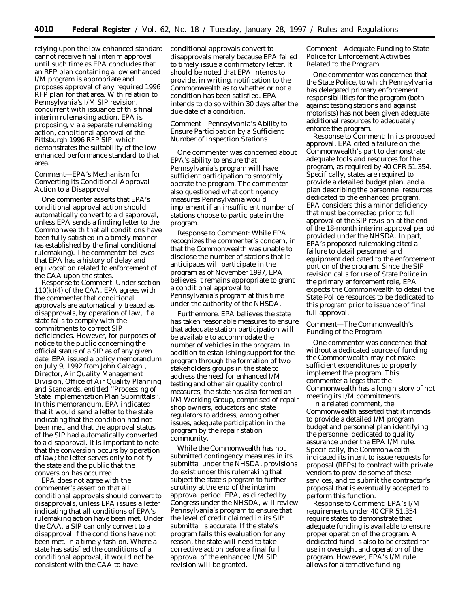relying upon the low enhanced standard cannot receive final interim approval until such time as EPA concludes that an RFP plan containing a low enhanced I/M program is appropriate and proposes approval of any required 1996 RFP plan for that area. With relation to Pennsylvania's I/M SIP revision, concurrent with issuance of this final interim rulemaking action, EPA is proposing, via a separate rulemaking action, conditional approval of the Pittsburgh 1996 RFP SIP, which demonstrates the suitability of the low enhanced performance standard to that area.

### *Comment—EPA's Mechanism for Converting its Conditional Approval Action to a Disapproval*

One commenter asserts that EPA's conditional approval action should automatically convert to a disapproval, unless EPA sends a finding letter to the Commonwealth that all conditions have been fully satisfied in a timely manner (as established by the final conditional rulemaking). The commenter believes that EPA has a history of delay and equivocation related to enforcement of the CAA upon the states.

*Response to Comment:* Under section 110(k)(4) of the CAA, EPA agrees with the commenter that conditional approvals are automatically treated as disapprovals, by operation of law, if a state fails to comply with the commitments to correct SIP deficiencies. However, for purposes of notice to the public concerning the official status of a SIP as of any given date, EPA issued a policy memorandum on July 9, 1992 from John Calcagni, Director, Air Quality Management Division, Office of Air Quality Planning and Standards, entitled ''Processing of State Implementation Plan Submittals''. In this memorandum, EPA indicated that it would send a letter to the state indicating that the condition had not been met, and that the approval status of the SIP had automatically converted to a disapproval. It is important to note that the conversion occurs by operation of law; the letter serves only to notify the state and the public that the conversion has occurred.

EPA does not agree with the commenter's assertion that all conditional approvals should convert to disapprovals, unless EPA issues a letter indicating that all conditions of EPA's rulemaking action have been met. Under the CAA, a SIP can only convert to a disapproval if the conditions have not been met, in a timely fashion. Where a state has satisfied the conditions of a conditional approval, it would not be consistent with the CAA to have

conditional approvals convert to disapprovals merely because EPA failed to timely issue a confirmatory letter. It should be noted that EPA intends to provide, in writing, notification to the Commonwealth as to whether or not a condition has been satisfied. EPA intends to do so within 30 days after the due date of a condition.

## *Comment—Pennsylvania's Ability to Ensure Participation by a Sufficient Number of Inspection Stations*

One commenter was concerned about EPA's ability to ensure that Pennsylvania's program will have sufficient participation to smoothly operate the program. The commenter also questioned what contingency measures Pennsylvania would implement if an insufficient number of stations choose to participate in the program.

*Response to Comment:* While EPA recognizes the commenter's concern, in that the Commonwealth was unable to disclose the number of stations that it anticipates will participate in the program as of November 1997, EPA believes it remains appropriate to grant a conditional approval to Pennsylvania's program at this time under the authority of the NHSDA.

Furthermore, EPA believes the state has taken reasonable measures to ensure that adequate station participation will be available to accommodate the number of vehicles in the program. In addition to establishing support for the program through the formation of two stakeholders groups in the state to address the need for enhanced I/M testing and other air quality control measures; the state has also formed an I/M Working Group, comprised of repair shop owners, educators and state regulators to address, among other issues, adequate participation in the program by the repair station community.

While the Commonwealth has not submitted contingency measures in its submittal under the NHSDA, provisions do exist under this rulemaking that subject the state's program to further scrutiny at the end of the interim approval period. EPA, as directed by Congress under the NHSDA, will review Pennsylvania's program to ensure that the level of credit claimed in its SIP submittal is accurate. If the state's program fails this evaluation for any reason, the state will need to take corrective action before a final full approval of the enhanced I/M SIP revision will be granted.

## *Comment—Adequate Funding to State Police for Enforcement Activities Related to the Program*

One commenter was concerned that the State Police, to which Pennsylvania has delegated primary enforcement responsibilities for the program (both against testing stations and against motorists) has not been given adequate additional resources to adequately enforce the program.

*Response to Comment:* In its proposed approval, EPA cited a failure on the Commonwealth's part to demonstrate adequate tools and resources for the program, as required by 40 CFR 51.354. Specifically, states are required to provide a detailed budget plan, and a plan describing the personnel resources dedicated to the enhanced program. EPA considers this a minor deficiency that must be corrected prior to full approval of the SIP revision at the end of the 18-month interim approval period provided under the NHSDA. In part, EPA's proposed rulemaking cited a failure to detail personnel and equipment dedicated to the enforcement portion of the program. Since the SIP revision calls for use of State Police in the primary enforcement role, EPA expects the Commonwealth to detail the State Police resources to be dedicated to this program prior to issuance of final full approval.

# *Comment—The Commonwealth's Funding of the Program*

One commenter was concerned that without a dedicated source of funding the Commonwealth may not make sufficient expenditures to properly implement the program. This commenter alleges that the Commonwealth has a long history of not meeting its I/M commitments.

In a related comment, the Commonwealth asserted that it intends to provide a detailed I/M program budget and personnel plan identifying the personnel dedicated to quality assurance under the EPA I/M rule. Specifically, the Commonwealth indicated its intent to issue requests for proposal (RFPs) to contract with private vendors to provide some of these services, and to submit the contractor's proposal that is eventually accepted to perform this function.

*Response to Comment:* EPA's I/M requirements under 40 CFR 51.354 require states to demonstrate that adequate funding is available to ensure proper operation of the program. A dedicated fund is also to be created for use in oversight and operation of the program. However, EPA's I/M rule allows for alternative funding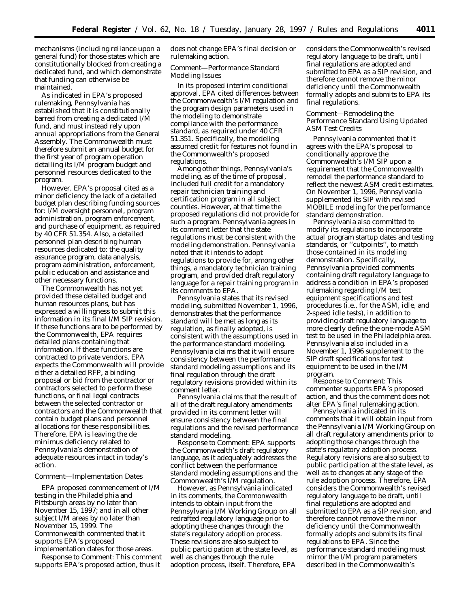mechanisms (including reliance upon a general fund) for those states which are constitutionally blocked from creating a dedicated fund, and which demonstrate that funding can otherwise be maintained.

As indicated in EPA's proposed rulemaking, Pennsylvania has established that it is constitutionally barred from creating a dedicated I/M fund, and must instead rely upon annual appropriations from the General Assembly. The Commonwealth must therefore submit an annual budget for the first year of program operation detailing its I/M program budget and personnel resources dedicated to the program.

However, EPA's proposal cited as a minor deficiency the lack of a detailed budget plan describing funding sources for: I/M oversight personnel, program administration, program enforcement, and purchase of equipment, as required by 40 CFR 51.354. Also, a detailed personnel plan describing human resources dedicated to: the quality assurance program, data analysis, program administration, enforcement, public education and assistance and other necessary functions.

The Commonwealth has not yet provided these detailed budget and human resources plans, but has expressed a willingness to submit this information in its final I/M SIP revision. If these functions are to be performed by the Commonwealth, EPA requires detailed plans containing that information. If these functions are contracted to private vendors, EPA expects the Commonwealth will provide either a detailed RFP, a binding proposal or bid from the contractor or contractors selected to perform these functions, or final legal contracts between the selected contractor or contractors and the Commonwealth that contain budget plans and personnel allocations for these responsibilities. Therefore, EPA is leaving the de minimus deficiency related to Pennsylvania's demonstration of adequate resources intact in today's action.

#### *Comment—Implementation Dates*

EPA proposed commencement of I/M testing in the Philadelphia and Pittsburgh areas by no later than November 15, 1997; and in all other subject I/M areas by no later than November 15, 1999. The Commonwealth commented that it supports EPA's proposed

implementation dates for those areas. *Response to Comment:* This comment supports EPA's proposed action, thus it

does not change EPA's final decision or rulemaking action.

### *Comment—Performance Standard Modeling Issues*

In its proposed interim conditional approval, EPA cited differences between the Commonwealth's I/M regulation and the program design parameters used in the modeling to demonstrate compliance with the performance standard, as required under 40 CFR 51.351. Specifically, the modeling assumed credit for features not found in the Commonwealth's proposed regulations.

Among other things, Pennsylvania's modeling, as of the time of proposal, included full credit for a mandatory repair technician training and certification program in all subject counties. However, at that time the proposed regulations did not provide for such a program. Pennsylvania agrees in its comment letter that the state regulations must be consistent with the modeling demonstration. Pennsylvania noted that it intends to adopt regulations to provide for, among other things, a mandatory technician training program, and provided draft regulatory language for a repair training program in its comments to EPA.

Pennsylvania states that its revised modeling, submitted November 1, 1996, demonstrates that the performance standard will be met as long as its regulation, as finally adopted, is consistent with the assumptions used in the performance standard modeling. Pennsylvania claims that it will ensure consistency between the performance standard modeling assumptions and its final regulation through the draft regulatory revisions provided within its comment letter.

Pennsylvania claims that the result of all of the draft regulatory amendments provided in its comment letter will ensure consistency between the final regulations and the revised performance standard modeling.

*Response to Comment:* EPA supports the Commonwealth's draft regulatory language, as it adequately addresses the conflict between the performance standard modeling assumptions and the Commonwealth's I/M regulation.

However, as Pennsylvania indicated in its comments, the Commonwealth intends to obtain input from the Pennsylvania I/M Working Group on all redrafted regulatory language prior to adopting these changes through the state's regulatory adoption process. These revisions are also subject to public participation at the state level, as well as changes through the rule adoption process, itself. Therefore, EPA

considers the Commonwealth's revised regulatory language to be draft, until final regulations are adopted and submitted to EPA as a SIP revision, and therefore cannot remove the minor deficiency until the Commonwealth formally adopts and submits to EPA its final regulations.

## *Comment—Remodeling the Performance Standard Using Updated ASM Test Credits*

Pennsylvania commented that it agrees with the EPA's proposal to conditionally approve the Commonwealth's I/M SIP upon a requirement that the Commonwealth remodel the performance standard to reflect the newest ASM credit estimates. On November 1, 1996, Pennsylvania supplemented its SIP with revised MOBILE modeling for the performance standard demonstration.

Pennsylvania also committed to modify its regulations to incorporate actual program startup dates and testing standards, or ''cutpoints'', to match those contained in its modeling demonstration. Specifically, Pennsylvania provided comments containing draft regulatory language to address a condition in EPA's proposed rulemaking regarding I/M test equipment specifications and test procedures (i.e., for the ASM, idle, and 2-speed idle tests), in addition to providing draft regulatory language to more clearly define the one-mode ASM test to be used in the Philadelphia area. Pennsylvania also included in a November 1, 1996 supplement to the SIP draft specifications for test equipment to be used in the I/M program.

*Response to Comment:* This commenter supports EPA's proposed action, and thus the comment does not alter EPA's final rulemaking action.

Pennsylvania indicated in its comments that it will obtain input from the Pennsylvania I/M Working Group on all draft regulatory amendments prior to adopting those changes through the state's regulatory adoption process. Regulatory revisions are also subject to public participation at the state level, as well as to changes at any stage of the rule adoption process. Therefore, EPA considers the Commonwealth's revised regulatory language to be draft, until final regulations are adopted and submitted to EPA as a SIP revision, and therefore cannot remove the minor deficiency until the Commonwealth formally adopts and submits its final regulations to EPA. Since the performance standard modeling must mirror the I/M program parameters described in the Commonwealth's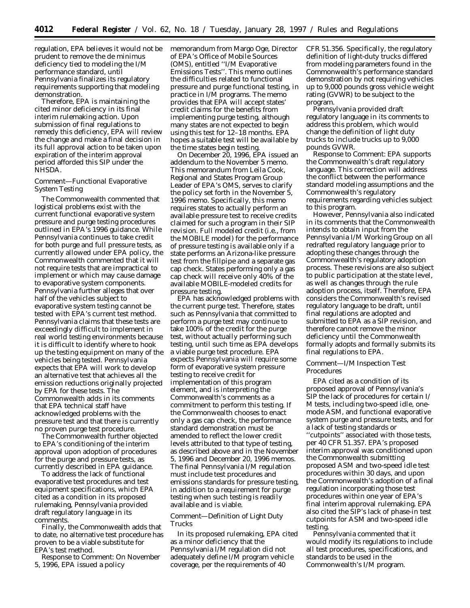regulation, EPA believes it would not be prudent to remove the de minimus deficiency tied to modeling the I/M performance standard, until Pennsylvania finalizes its regulatory requirements supporting that modeling demonstration.

Therefore, EPA is maintaining the cited minor deficiency in its final interim rulemaking action. Upon submission of final regulations to remedy this deficiency, EPA will review the change and make a final decision in its full approval action to be taken upon expiration of the interim approval period afforded this SIP under the NHSDA.

## *Comment—Functional Evaporative System Testing*

The Commonwealth commented that logistical problems exist with the current functional evaporative system pressure and purge testing procedures outlined in EPA's 1996 guidance. While Pennsylvania continues to take credit for both purge and full pressure tests, as currently allowed under EPA policy, the Commonwealth commented that it will not require tests that are impractical to implement or which may cause damage to evaporative system components. Pennsylvania further alleges that over half of the vehicles subject to evaporative system testing cannot be tested with EPA's current test method. Pennsylvania claims that these tests are exceedingly difficult to implement in real world testing environments because it is difficult to identify where to hook up the testing equipment on many of the vehicles being tested. Pennsylvania expects that EPA will work to develop an alternative test that achieves all the emission reductions originally projected by EPA for these tests. The Commonwealth adds in its comments that EPA technical staff have acknowledged problems with the pressure test and that there is currently no proven purge test procedure.

The Commonwealth further objected to EPA's conditioning of the interim approval upon adoption of procedures for the purge and pressure tests, as currently described in EPA guidance.

To address the lack of functional evaporative test procedures and test equipment specifications, which EPA cited as a condition in its proposed rulemaking, Pennsylvania provided draft regulatory language in its comments.

Finally, the Commonwealth adds that to date, no alternative test procedure has proven to be a viable substitute for EPA's test method.

*Response to Comment:* On November 5, 1996, EPA issued a policy

memorandum from Margo Oge, Director of EPA's Office of Mobile Sources (OMS), entitled ''I/M Evaporative Emissions Tests''. This memo outlines the difficulties related to functional pressure and purge functional testing, in practice in I/M programs. The memo provides that EPA will accept states' credit claims for the benefits from implementing purge testing, although many states are not expected to begin using this test for 12–18 months. EPA hopes a suitable test will be available by the time states begin testing.

On December 20, 1996, EPA issued an addendum to the November 5 memo. This memorandum from Leila Cook, Regional and States Program Group Leader of EPA's OMS, serves to clarify the policy set forth in the November  $\check{5}$ , 1996 memo. Specifically, this memo requires states to actually perform an available pressure test to receive credits claimed for such a program in their SIP revision. Full modeled credit (i.e., from the MOBILE model) for the performance of pressure testing is available only if a state performs an Arizona-like pressure test from the fillpipe *and* a separate gas cap check. States performing only a gas cap check will receive only 40% of the available MOBILE-modeled credits for pressure testing.

EPA has acknowledged problems with the current purge test. Therefore, states such as Pennsylvania that committed to perform a purge test may continue to take 100% of the credit for the purge test, without actually performing such testing, until such time as EPA develops a viable purge test procedure. EPA expects Pennsylvania will require some form of evaporative system pressure testing to receive credit for implementation of this program element, and is interpreting the Commonwealth's comments as a commitment to perform this testing. If the Commonwealth chooses to enact only a gas cap check, the performance standard demonstration must be amended to reflect the lower credit levels attributed to that type of testing, as described above and in the November 5, 1996 and December 20, 1996 memos. The final Pennsylvania I/M regulation must include test procedures and emissions standards for pressure testing, in addition to a requirement for purge testing when such testing is readily available and is viable.

## *Comment—Definition of Light Duty Trucks*

In its proposed rulemaking, EPA cited as a minor deficiency that the Pennsylvania I/M regulation did not adequately define I/M program vehicle coverage, per the requirements of 40

CFR 51.356. Specifically, the regulatory definition of light-duty trucks differed from modeling parameters found in the Commonwealth's performance standard demonstration by not requiring vehicles up to 9,000 pounds gross vehicle weight rating (GVWR) to be subject to the program.

Pennsylvania provided draft regulatory language in its comments to address this problem, which would change the definition of light duty trucks to include trucks up to 9,000 pounds GVWR.

*Response to Comment*: EPA supports the Commonwealth's draft regulatory language. This correction will address the conflict between the performance standard modeling assumptions and the Commonwealth's regulatory requirements regarding vehicles subject to this program.

However, Pennsylvania also indicated in its comments that the Commonwealth intends to obtain input from the Pennsylvania I/M Working Group on all redrafted regulatory language prior to adopting these changes through the Commonwealth's regulatory adoption process. These revisions are also subject to public participation at the state level, as well as changes through the rule adoption process, itself. Therefore, EPA considers the Commonwealth's revised regulatory language to be draft, until final regulations are adopted and submitted to EPA as a SIP revision, and therefore cannot remove the minor deficiency until the Commonwealth formally adopts and formally submits its final regulations to EPA.

# *Comment—I/M Inspection Test Procedures*

EPA cited as a condition of its proposed approval of Pennsylvania's SIP the lack of procedures for certain I/ M tests, including two-speed idle, onemode ASM, and functional evaporative system purge and pressure tests, and for a lack of testing standards or ''cutpoints'' associated with those tests, per 40 CFR 51.357. EPA's proposed interim approval was conditioned upon the Commonwealth submitting proposed ASM and two-speed idle test procedures within 30 days, and upon the Commonwealth's adoption of a final regulation incorporating those test procedures within one year of EPA's final interim approval rulemaking. EPA also cited the SIP's lack of phase-in test cutpoints for ASM and two-speed idle testing.

Pennsylvania commented that it would modify its regulations to include all test procedures, specifications, and standards to be used in the Commonwealth's I/M program.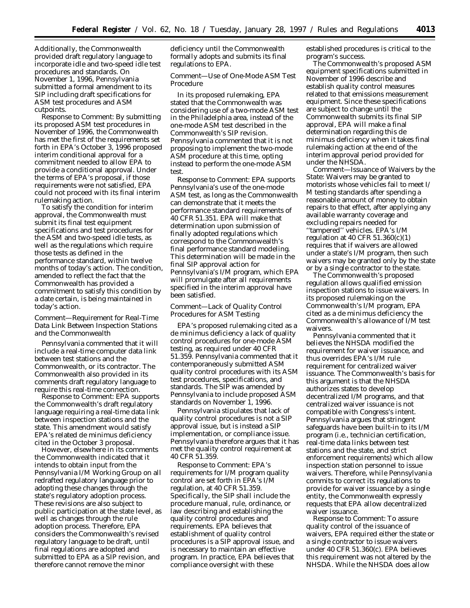Additionally, the Commonwealth provided draft regulatory language to incorporate idle and two-speed idle test procedures and standards. On November 1, 1996, Pennsylvania submitted a formal amendment to its SIP including draft specifications for ASM test procedures and ASM cutpoints.

*Response to Comment:* By submitting its proposed ASM test procedures in November of 1996, the Commonwealth has met the first of the requirements set forth in EPA's October 3, 1996 proposed interim conditional approval for a commitment needed to allow EPA to provide a conditional approval. Under the terms of EPA's proposal, if those requirements were not satisfied, EPA could not proceed with its final interim rulemaking action.

To satisfy the condition for interim approval, the Commonwealth must submit its final test equipment specifications and test procedures for the ASM and two-speed idle tests, as well as the regulations which require those tests as defined in the performance standard, within twelve months of today's action. The condition, amended to reflect the fact that the Commonwealth has provided a commitment to satisfy this condition by a date certain, is being maintained in today's action.

### *Comment—Requirement for Real-Time Data Link Between Inspection Stations and the Commonwealth*

Pennsylvania commented that it will include a real-time computer data link between test stations and the Commonwealth, or its contractor. The Commonwealth also provided in its comments draft regulatory language to require this real-time connection.

*Response to Comment*: EPA supports the Commonwealth's draft regulatory language requiring a real-time data link between inspection stations and the state. This amendment would satisfy EPA's related de minimus deficiency cited in the October 3 proposal.

However, elsewhere in its comments the Commonwealth indicated that it intends to obtain input from the Pennsylvania I/M Working Group on all redrafted regulatory language prior to adopting these changes through the state's regulatory adoption process. These revisions are also subject to public participation at the state level, as well as changes through the rule adoption process. Therefore, EPA considers the Commonwealth's revised regulatory language to be draft, until final regulations are adopted and submitted to EPA as a SIP revision, and therefore cannot remove the minor

deficiency until the Commonwealth formally adopts and submits its final regulations to EPA.

#### *Comment—Use of One-Mode ASM Test Procedure*

In its proposed rulemaking, EPA stated that the Commonwealth was considering use of a two-mode ASM test in the Philadelphia area, instead of the one-mode ASM test described in the Commonwealth's SIP revision. Pennsylvania commented that it is not proposing to implement the two-mode ASM procedure at this time, opting instead to perform the one-mode ASM test.

*Response to Comment:* EPA supports Pennsylvania's use of the one-mode ASM test, as long as the Commonwealth can demonstrate that it meets the performance standard requirements of 40 CFR 51.351. EPA will make that determination upon submission of finally adopted regulations which correspond to the Commonwealth's final performance standard modeling. This determination will be made in the final SIP approval action for Pennsylvania's I/M program, which EPA will promulgate after all requirements specified in the interim approval have been satisfied.

### *Comment—Lack of Quality Control Procedures for ASM Testing*

EPA's proposed rulemaking cited as a de minimus deficiency a lack of quality control procedures for one-mode ASM testing, as required under 40 CFR 51.359. Pennsylvania commented that it contemporaneously submitted ASM quality control procedures with its ASM test procedures, specifications, and standards. The SIP was amended by Pennsylvania to include proposed ASM standards on November 1, 1996.

Pennsylvania stipulates that lack of quality control procedures is not a SIP approval issue, but is instead a SIP implementation, or compliance issue. Pennsylvania therefore argues that it has met the quality control requirement at 40 CFR 51.359.

*Response to Comment:* EPA's requirements for I/M program quality control are set forth in EPA's I/M regulation, at 40 CFR 51.359. Specifically, the SIP shall include the procedure manual, rule, ordinance, or law describing and establishing the quality control procedures and requirements. EPA believes that establishment of quality control procedures is a SIP approval issue, and is necessary to maintain an effective program. In practice, EPA believes that compliance oversight with these

established procedures is critical to the program's success.

The Commonwealth's proposed ASM equipment specifications submitted in November of 1996 describe and establish quality control measures related to that emissions measurement equipment. Since these specifications are subject to change until the Commonwealth submits its final SIP approval, EPA will make a final determination regarding this de minimus deficiency when it takes final rulemaking action at the end of the interim approval period provided for under the NHSDA.

*Comment—Issuance of Waivers by the State:* Waivers may be granted to motorists whose vehicles fail to meet I/ M testing standards after spending a reasonable amount of money to obtain repairs to that effect, after applying any available warranty coverage and excluding repairs needed for ''tampered'' vehicles. EPA's I/M regulation at 40 CFR  $51.360(c)(1)$ requires that if waivers are allowed under a state's I/M program, then such waivers may be granted only by the state or by a single contractor to the state.

The Commonwealth's proposed regulation allows qualified emission inspection stations to issue waivers. In its proposed rulemaking on the Commonwealth's I/M program, EPA cited as a de minimus deficiency the Commonwealth's allowance of I/M test waivers.

Pennsylvania commented that it believes the NHSDA modified the requirement for waiver issuance, and thus overrides EPA's I/M rule requirement for centralized waiver issuance. The Commonwealth's basis for this argument is that the NHSDA authorizes states to develop decentralized I/M programs, and that centralized waiver issuance is not compatible with Congress's intent. Pennsylvania argues that stringent safeguards have been built-in to its I/M program (i.e., technician certification, real-time data links between test stations and the state, and strict enforcement requirements) which allow inspection station personnel to issue waivers. Therefore, while Pennsylvania commits to correct its regulations to provide for waiver issuance by a single entity, the Commonwealth expressly requests that EPA allow decentralized waiver issuance.

*Response to Comment:* To assure quality control of the issuance of waivers, EPA required either the state or a single contractor to issue waivers under 40 CFR 51.360(c). EPA believes this requirement was not altered by the NHSDA. While the NHSDA does allow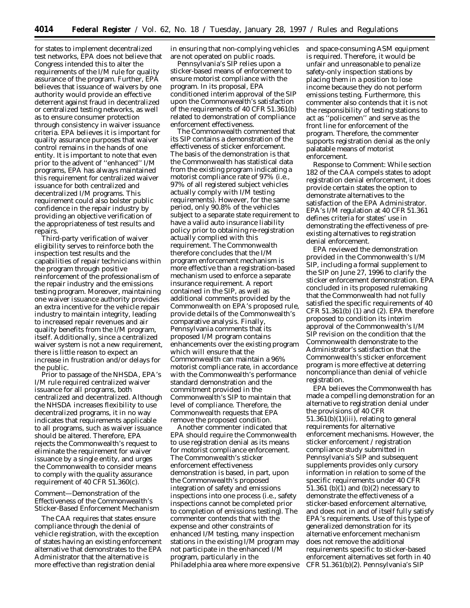for states to implement decentralized test networks, EPA does not believe that Congress intended this to alter the requirements of the I/M rule for quality assurance of the program. Further, EPA believes that issuance of waivers by one authority would provide an effective deterrent against fraud in decentralized or centralized testing networks, as well as to ensure consumer protection through consistency in waiver issuance criteria. EPA believes it is important for quality assurance purposes that waiver control remains in the hands of one entity. It is important to note that even prior to the advent of ''enhanced'' I/M programs, EPA has always maintained this requirement for centralized waiver issuance for both centralized and decentralized I/M programs. This requirement could also bolster public confidence in the repair industry by providing an objective verification of the appropriateness of test results and repairs.

Third-party verification of waiver eligibility serves to reinforce both the inspection test results and the capabilities of repair technicians within the program through positive reinforcement of the professionalism of the repair industry and the emissions testing program. Moreover, maintaining one waiver issuance authority provides an extra incentive for the vehicle repair industry to maintain integrity, leading to increased repair revenues and air quality benefits from the I/M program, itself. Additionally, since a centralized waiver system is not a new requirement, there is little reason to expect an increase in frustration and/or delays for the public.

Prior to passage of the NHSDA, EPA's I/M rule required centralized waiver issuance for all programs, both centralized and decentralized. Although the NHSDA increases flexibility to use decentralized programs, it in no way indicates that requirements applicable to all programs, such as waiver issuance should be altered. Therefore, EPA rejects the Commonwealth's request to eliminate the requirement for waiver issuance by a single entity, and urges the Commonwealth to consider means to comply with the quality assurance requirement of 40 CFR 51.360(c).

### *Comment—Demonstration of the Effectiveness of the Commonwealth's Sticker-Based Enforcement Mechanism*

The CAA requires that states ensure compliance through the denial of vehicle registration, with the exception of states having an existing enforcement alternative that demonstrates to the EPA Administrator that the alternative is more effective than registration denial

in ensuring that non-complying vehicles are not operated on public roads.

Pennsylvania's SIP relies upon a sticker-based means of enforcement to ensure motorist compliance with the program. In its proposal, EPA conditioned interim approval of the SIP upon the Commonwealth's satisfaction of the requirements of 40 CFR 51.361(b) related to demonstration of compliance enforcement effectiveness.

The Commonwealth commented that its SIP contains a demonstration of the effectiveness of sticker enforcement. The basis of the demonstration is that the Commonwealth has statistical data from the existing program indicating a motorist compliance rate of 97% (i.e., 97% of all registered subject vehicles actually comply with I/M testing requirements). However, for the same period, only 90.8% of the vehicles subject to a separate state requirement to have a valid auto insurance liability policy prior to obtaining re-registration actually complied with this requirement. The Commonwealth therefore concludes that the I/M program enforcement mechanism is more effective than a registration-based mechanism used to enforce a separate insurance requirement. A report contained in the SIP, as well as additional comments provided by the Commonwealth on EPA's proposed rule, provide details of the Commonwealth's comparative analysis. Finally, Pennsylvania comments that its proposed I/M program contains enhancements over the existing program which will ensure that the Commonwealth can maintain a 96% motorist compliance rate, in accordance with the Commonwealth's performance standard demonstration and the commitment provided in the Commonwealth's SIP to maintain that level of compliance. Therefore, the Commonwealth requests that EPA remove the proposed condition.

Another commenter indicated that EPA should require the Commonwealth to use registration denial as its means for motorist compliance enforcement. The Commonwealth's sticker enforcement effectiveness demonstration is based, in part, upon the Commonwealth's proposed integration of safety and emissions inspections into one process (i.e., safety inspections cannot be completed prior to completion of emissions testing). The commenter contends that with the expense and other constraints of enhanced I/M testing, many inspection stations in the existing I/M program may not participate in the enhanced I/M program, particularly in the Philadelphia area where more expensive and space-consuming ASM equipment is required. Therefore, it would be unfair and unreasonable to penalize safety-only inspection stations by placing them in a position to lose income because they do not perform emissions testing. Furthermore, this commenter also contends that it is not the responsibility of testing stations to act as ''policemen'' and serve as the front line for enforcement of the program. Therefore, the commenter supports registration denial as the only palatable means of motorist enforcement.

*Response to Comment:* While section 182 of the CAA compels states to adopt registration denial enforcement, it does provide certain states the option to demonstrate alternatives to the satisfaction of the EPA Administrator. EPA's I/M regulation at 40 CFR 51.361 defines criteria for states' use in demonstrating the effectiveness of preexisting alternatives to registration denial enforcement.

EPA reviewed the demonstration provided in the Commonwealth's I/M SIP, including a formal supplement to the SIP on June 27, 1996 to clarify the sticker enforcement demonstration. EPA concluded in its proposed rulemaking that the Commonwealth had not fully satisfied the specific requirements of 40 CFR 51.361(b) (1) and (2). EPA therefore proposed to condition its interim approval of the Commonwealth's I/M SIP revision on the condition that the Commonwealth demonstrate to the Administrator's satisfaction that the Commonwealth's sticker enforcement program is more effective at deterring noncompliance than denial of vehicle registration.

EPA believes the Commonwealth has made a compelling demonstration for an alternative to registration denial under the provisions of 40 CFR  $51.361(b)(1)(iii)$ , relating to general requirements for alternative enforcement mechanisms. However, the sticker enforcement / registration compliance study submitted in Pennsylvania's SIP and subsequent supplements provides only cursory information in relation to some of the specific requirements under 40 CFR 51.361 (b)(1) and (b)(2) necessary to demonstrate the effectiveness of a sticker-based enforcement alternative, and does not in and of itself fully satisfy EPA's requirements. Use of this type of generalized demonstration for its alternative enforcement mechanism does not remove the additional requirements specific to sticker-based enforcement alternatives set forth in 40 CFR 51.361(b)(2). Pennsylvania's SIP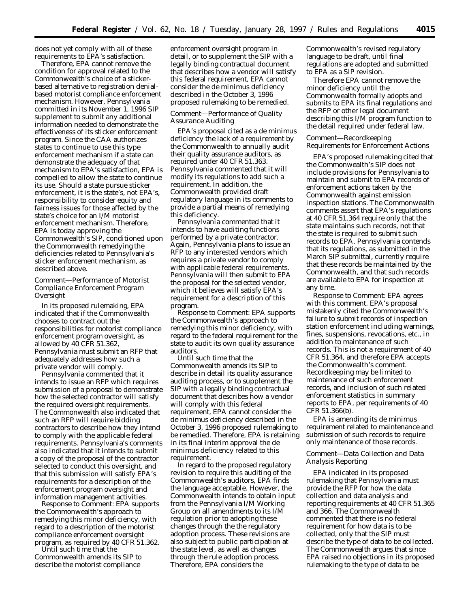does not yet comply with all of these requirements to EPA's satisfaction.

Therefore, EPA cannot remove the condition for approval related to the Commonwealth's choice of a stickerbased alternative to registration denialbased motorist compliance enforcement mechanism. However, Pennsylvania committed in its November 1, 1996 SIP supplement to submit any additional information needed to demonstrate the effectiveness of its sticker enforcement program. Since the CAA authorizes states to continue to use this type enforcement mechanism if a state can demonstrate the adequacy of that mechanism to EPA's satisfaction, EPA is compelled to allow the state to continue its use. Should a state pursue sticker enforcement, it is the state's, not EPA's, responsibility to consider equity and fairness issues for those affected by the state's choice for an I/M motorist enforcement mechanism. Therefore, EPA is today approving the Commonwealth's SIP, conditioned upon the Commonwealth remedying the deficiencies related to Pennsylvania's sticker enforcement mechanism, as described above.

## *Comment—Performance of Motorist Compliance Enforcement Program Oversight*

In its proposed rulemaking, EPA indicated that if the Commonwealth chooses to contract out the responsibilities for motorist compliance enforcement program oversight, as allowed by 40 CFR 51.362, Pennsylvania must submit an RFP that adequately addresses how such a private vendor will comply.

Pennsylvania commented that it intends to issue an RFP which requires submission of a proposal to demonstrate how the selected contractor will satisfy the required oversight requirements. The Commonwealth also indicated that such an RFP will require bidding contractors to describe how they intend to comply with the applicable federal requirements. Pennsylvania's comments also indicated that it intends to submit a copy of the proposal of the contractor selected to conduct this oversight, and that this submission will satisfy EPA's requirements for a description of the enforcement program oversight and information management activities.

*Response to Comment:* EPA supports the Commonwealth's approach to remedying this minor deficiency, with regard to a description of the motorist compliance enforcement oversight program, as required by 40 CFR 51.362.

Until such time that the Commonwealth amends its SIP to describe the motorist compliance

enforcement oversight program in detail, or to supplement the SIP with a legally binding contractual document that describes how a vendor will satisfy this federal requirement, EPA cannot consider the de minimus deficiency described in the October 3, 1996 proposed rulemaking to be remedied.

# *Comment—Performance of Quality Assurance Auditing*

EPA's proposal cited as a *de minimus* deficiency the lack of a requirement by the Commonwealth to annually audit their quality assurance auditors, as required under 40 CFR 51.363. Pennsylvania commented that it will modify its regulations to add such a requirement. In addition, the Commonwealth provided draft regulatory language in its comments to provide a partial means of remedying this deficiency.

Pennsylvania commented that it intends to have auditing functions performed by a private contractor. Again, Pennsylvania plans to issue an RFP to any interested vendors which requires a private vendor to comply with applicable federal requirements. Pennsylvania will then submit to EPA the proposal for the selected vendor, which it believes will satisfy EPA's requirement for a description of this program.

*Response to Comment:* EPA supports the Commonwealth's approach to remedying this minor deficiency, with regard to the federal requirement for the state to audit its own quality assurance auditors.

Until such time that the Commonwealth amends its SIP to describe in detail its quality assurance auditing process, or to supplement the SIP with a legally binding contractual document that describes how a vendor will comply with this federal requirement, EPA cannot consider the *de minimus* deficiency described in the October 3, 1996 proposed rulemaking to be remedied. Therefore, EPA is retaining in its final interim approval the *de minimus* deficiency related to this requirement.

In regard to the proposed regulatory revision to require this auditing of the Commonwealth's auditors, EPA finds the language acceptable. However, the Commonwealth intends to obtain input from the Pennsylvania I/M Working Group on all amendments to its I/M regulation prior to adopting these changes through the the regulatory adoption process. These revisions are also subject to public participation at the state level, as well as changes through the rule adoption process. Therefore, EPA considers the

Commonwealth's revised regulatory language to be draft, until final regulations are adopted and submitted to EPA as a SIP revision.

Therefore EPA cannot remove the minor deficiency until the Commonwealth formally adopts and submits to EPA its final regulations and the RFP or other legal document describing this I/M program function to the detail required under federal law.

#### *Comment—Recordkeeping Requirements for Enforcement Actions*

EPA's proposed rulemaking cited that the Commonwealth's SIP does not include provisions for Pennsylvania to maintain and submit to EPA records of enforcement actions taken by the Commonwealth against emission inspection stations. The Commonwealth comments assert that EPA's regulations at 40 CFR 51.364 require *only* that the state maintains such records, not that the state is required to submit such records to EPA. Pennsylvania contends that its regulations, as submitted in the March SIP submittal, currently require that these records be maintained by the Commonwealth, and that such records are available to EPA for inspection at any time.

*Response to Comment:* EPA agrees with this comment. EPA's proposal mistakenly cited the Commonwealth's failure to submit records of inspection station enforcement including warnings, fines, suspensions, revocations, etc., in addition to maintenance of such records. This is not a requirement of 40 CFR 51.364, and therefore EPA accepts the Commonwealth's comment. Recordkeeping may be limited to maintenance of such enforcement records, and inclusion of such related enforcement statistics in summary reports to EPA, per requirements of 40 CFR 51.366(b).

EPA is amending its *de minimus* requirement related to maintenance and submission of such records to require only maintenance of those records.

### *Comment—Data Collection and Data Analysis Reporting*

EPA indicated in its proposed rulemaking that Pennsylvania must provide the RFP for how the data collection and data analysis and reporting requirements at 40 CFR 51.365 and 366. The Commonwealth commented that there is no federal requirement for how data is to be collected, only that the SIP must describe the type of data to be collected. The Commonwealth argues that since EPA raised no objections in its proposed rulemaking to the type of data to be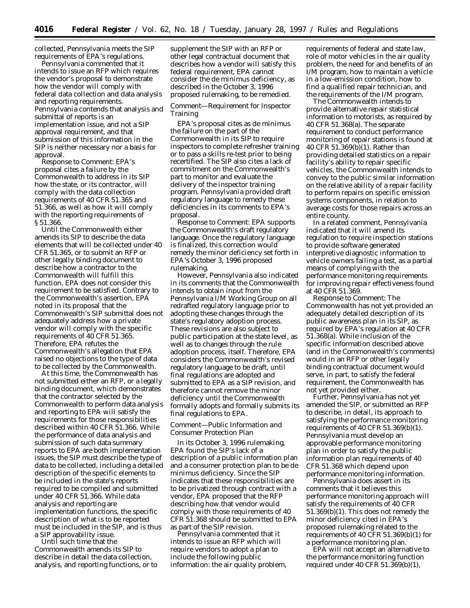collected, Pennsylvania meets the SIP requirements of EPA's regulations.

Pennsylvania commented that it intends to issue an RFP which requires the vendor's proposal to demonstrate how the vendor will comply with federal data collection and data analysis and reporting requirements. Pennsylvania contends that analysis and submittal of reports is an implementation issue, and not a SIP approval requirement, and that submission of this information in the SIP is neither necessary nor a basis for approval.

*Response to Comment:* EPA's proposal cites a failure by the Commonwealth to address in its SIP how the state, or its contractor, will comply with the data collection requirements of 40 CFR 51.365 and 51.366, as well as how it will comply with the reporting requirements of § 51.366.

Until the Commonwealth either amends its SIP to describe the data elements that will be collected under 40 CFR 51.365, or to submit an RFP or other legally binding document to describe how a contractor to the Commonwealth will fulfill this function, EPA does not consider this requirement to be satisfied. Contrary to the Commonwealth's assertion, EPA noted in its proposal that the Commonwealth's SIP submittal does not adequately address how a private vendor will comply with the specific requirements of 40 CFR 51.365. Therefore, EPA refutes the Commonwealth's allegation that EPA raised no objections to the type of data to be collected by the Commonwealth.

At this time, the Commonwealth has not submitted either an RFP, or a legally binding document, which demonstrates that the contractor selected by the Commonwealth to perform data analysis and reporting to EPA will satisfy the requirements for those responsibilities described within 40 CFR 51.366. While the performance of data analysis and submission of such data summary reports to EPA are both implementation issues, the SIP must describe the type of data to be collected, including a detailed description of the specific elements to be included in the state's reports required to be compiled and submitted under 40 CFR 51.366. While data analysis and reporting are implementation functions, the specific description of what is to be reported must be included in the SIP, and is thus a SIP approvability issue.

Until such time that the Commonwealth amends its SIP to describe in detail the data collection, analysis, and reporting functions, or to supplement the SIP with an RFP or other legal contractual document that describes how a vendor will satisfy this federal requirement, EPA cannot consider the de minimus deficiency, as described in the October 3, 1996 proposed rulemaking, to be remedied.

## *Comment—Requirement for Inspector Training*

EPA's proposal cites as de minimus the failure on the part of the Commonwealth in its SIP to require inspectors to complete refresher training or to pass a skills re-test prior to being recertified. The SIP also cites a lack of commitment on the Commonwealth's part to monitor and evaluate the delivery of the inspector training program. Pennsylvania provided draft regulatory language to remedy these deficiencies in its comments to EPA's proposal.

*Response to Comment:* EPA supports the Commonwealth's draft regulatory language. Once the regulatory language is finalized, this correction would remedy the minor deficiency set forth in EPA's October 3, 1996 proposed rulemaking.

However, Pennsylvania also indicated in its comments that the Commonwealth intends to obtain input from the Pennsylvania I/M Working Group on all redrafted regulatory language prior to adopting these changes through the state's regulatory adoption process. These revisions are also subject to public participation at the state level, as well as to changes through the rule adoption process, itself. Therefore, EPA considers the Commonwealth's revised regulatory language to be draft, until final regulations are adopted and submitted to EPA as a SIP revision, and therefore cannot remove the minor deficiency until the Commonwealth formally adopts and formally submits its final regulations to EPA.

## *Comment—Public Information and Consumer Protection Plan*

In its October 3, 1996 rulemaking, EPA found the SIP's lack of a description of a public information plan and a consumer protection plan to be de minimus deficiency. Since the SIP indicates that these responsibilities are to be privatized through contract with a vendor, EPA proposed that the RFP describing how that vendor would comply with those requirements of 40 CFR 51.368 should be submitted to EPA as part of the SIP revision.

Pennsylvania commented that it intends to issue an RFP which will require vendors to adopt a plan to include the following public information: the air quality problem, requirements of federal and state law, role of motor vehicles in the air quality problem, the need for and benefits of an I/M program, how to maintain a vehicle in a low-emission condition, how to find a qualified repair technician, and the requirements of the I/M program.

The Commonwealth intends to provide alternative repair statistical information to motorists, as required by 40 CFR 51.368(a). The separate requirement to conduct performance monitoring of repair stations is found at 40 CFR 51.369(b)(1). Rather than providing detailed statistics on a repair facility's ability to repair specific vehicles, the Commonwealth intends to convey to the public similar information on the relative ability of a repair facility to perform repairs on specific emission systems components, in relation to average costs for those repairs across an entire county.

In a related comment, Pennsylvania indicated that it will amend its regulation to require inspection stations to provide software generated interpretive diagnostic information to vehicle owners failing a test, as a partial means of complying with the performance monitoring requirements for improving repair effectiveness found at 40 CFR 51.369.

*Response to Comment:* The Commonwealth has not yet provided an adequately detailed description of its public awareness plan in its SIP, as required by EPA's regulation at 40 CFR 51.368(a). While inclusion of the specific information described above (and in the Commonwealth's comments) would in an RFP or other legally binding contractual document would serve, in part, to satisfy the federal requirement, the Commonwealth has not yet provided either.

Further, Pennsylvania has not yet amended the SIP, or submitted an RFP to describe, in detail, its approach to satisfying the performance monitoring requirements of 40 CFR 51.369(b)(1). Pennsylvania must develop an approvable performance monitoring plan in order to satisfy the public information plan requirements of 40 CFR 51.368 which depend upon performance monitoring information.

Pennsylvania does assert in its comments that it believes this performance monitoring approach will satisfy the requirements of 40 CFR 51.369(b)(1). This does not remedy the minor deficiency cited in EPA's proposed rulemaking related to the requirements of 40 CFR 51.369(b)(1) for a performance monitoring plan.

EPA will not accept an alternative to the performance monitoring function required under 40 CFR 51.369(b)(1),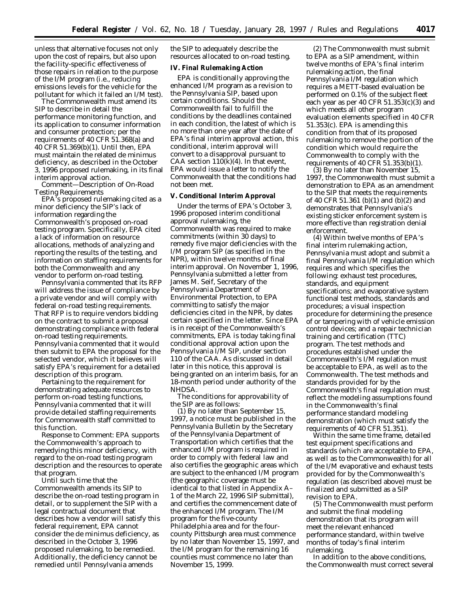unless that alternative focuses not only upon the cost of repairs, but also upon the facility-specific effectiveness of those repairs in relation to the purpose of the I/M program (i.e., reducing emissions levels for the vehicle for the pollutant for which it failed an I/M test).

The Commonwealth must amend its SIP to describe in detail the performance monitoring function, and its application to consumer information and consumer protection; per the requirements of 40 CFR 51.368(a) and 40 CFR 51.369(b)(1). Until then, EPA must maintain the related *de minimus* deficiency, as described in the October 3, 1996 proposed rulemaking, in its final interim approval action.

*Comment—Description of On-Road Testing Requirements*

EPA's proposed rulemaking cited as a minor deficiency the SIP's lack of information regarding the Commonwealth's proposed on-road testing program. Specifically, EPA cited a lack of information on resource allocations, methods of analyzing and reporting the results of the testing, and information on staffing requirements for both the Commonwealth and any vendor to perform on-road testing.

Pennsylvania commented that its RFP will address the issue of compliance by a private vendor and will comply with federal on-road testing requirements. That RFP is to require vendors bidding on the contract to submit a proposal demonstrating compliance with federal on-road testing requirements. Pennsylvania commented that it would then submit to EPA the proposal for the selected vendor, which it believes will satisfy EPA's requirement for a detailed description of this program.

Pertaining to the requirement for demonstrating adequate resources to perform on-road testing functions, Pennsylvania commented that it will provide detailed staffing requirements for Commonwealth staff committed to this function.

*Response to Comment:* EPA supports the Commonwealth's approach to remedying this minor deficiency, with regard to the on-road testing program description and the resources to operate that program.

Until such time that the Commonwealth amends its SIP to describe the on-road testing program in detail, or to supplement the SIP with a legal contractual document that describes how a vendor will satisfy this federal requirement, EPA cannot consider the de minimus deficiency, as described in the October 3, 1996 proposed rulemaking, to be remedied. Additionally, the deficiency cannot be remedied until Pennsylvania amends

the SIP to adequately describe the resources allocated to on-road testing.

#### **IV. Final Rulemaking Action**

EPA is conditionally approving the enhanced I/M program as a revision to the Pennsylvania SIP, based upon certain conditions. Should the Commonwealth fail to fulfill the conditions by the deadlines contained in each condition, the latest of which is no more than one year after the date of EPA's final interim approval action, this conditional, interim approval will convert to a disapproval pursuant to CAA section  $110(k)(4)$ . In that event, EPA would issue a letter to notify the Commonwealth that the conditions had not been met.

**V. Conditional Interim Approval**

Under the terms of EPA's October 3, 1996 proposed interim conditional approval rulemaking, the Commonwealth was required to make commitments (within 30 days) to remedy five major deficiencies with the I/M program SIP (as specified in the NPR), within twelve months of final interim approval. On November 1, 1996, Pennsylvania submitted a letter from James M. Seif, Secretary of the Pennsylvania Department of Environmental Protection, to EPA committing to satisfy the major deficiencies cited in the NPR, by dates certain specified in the letter. Since EPA is in receipt of the Commonwealth's commitments, EPA is today taking final conditional approval action upon the Pennsylvania I/M SIP, under section 110 of the CAA. As discussed in detail later in this notice, this approval is being granted on an interim basis, for an 18-month period under authority of the NHDSA.

The conditions for approvability of the SIP are as follows:

(1) By no later than September 15, 1997, a notice must be published in the *Pennsylvania Bulletin* by the Secretary of the Pennsylvania Department of Transportation which certifies that the enhanced I/M program is required in order to comply with federal law and also certifies the geographic areas which are subject to the enhanced I/M program (the geographic coverage must be identical to that listed in Appendix A– 1 of the March 22, 1996 SIP submittal), and certifies the commencement date of the enhanced I/M program. The I/M program for the five-county Philadelphia area and for the fourcounty Pittsburgh area must commence by no later than November 15, 1997, and the I/M program for the remaining 16 counties must commence no later than November 15, 1999.

(2) The Commonwealth must submit to EPA as a SIP amendment, within twelve months of EPA's final interim rulemaking action, the final Pennsylvania I/M regulation which requires a METT-based evaluation be performed on 0.1% of the subject fleet each year as per 40 CFR 51.353(c)(3) and which meets all other program evaluation elements specified in 40 CFR 51.353(c). EPA is amending this condition from that of its proposed rulemaking to remove the portion of the condition which would require the Commonwealth to comply with the requirements of 40 CFR 51.353(b)(1).

(3) By no later than November 15, 1997, the Commonwealth must submit a demonstration to EPA as an amendment to the SIP that meets the requirements of 40 CFR 51.361 (b)(1) and (b)(2) and demonstrates that Pennsylvania's existing sticker enforcement system is more effective than registration denial enforcement.

(4) Within twelve months of EPA's final interim rulemaking action, Pennsylvania must adopt and submit a final Pennsylvania I/M regulation which requires and which specifies the following: exhaust test procedures, standards, and equipment specifications; and evaporative system functional test methods, standards and procedures; a visual inspection procedure for determining the presence of or tampering with of vehicle emission control devices; and a repair technician training and certification (TTC) program. The test methods and procedures established under the Commonwealth's I/M regulation must be acceptable to EPA, as well as to the Commonwealth. The test methods and standards provided for by the Commonwealth's final regulation must reflect the modeling assumptions found in the Commonwealth's final performance standard modeling demonstration (which must satisfy the requirements of 40 CFR 51.351).

Within the same time frame, detailed test equipment specifications and standards (which are acceptable to EPA, as well as to the Commonwealth) for all of the I/M evaporative and exhaust tests provided for by the Commonwealth's regulation (as described above) must be finalized and submitted as a SIP revision to EPA.

(5) The Commonwealth must perform and submit the final modeling demonstration that its program will meet the relevant enhanced performance standard, within twelve months of today's final interim rulemaking.

In addition to the above conditions, the Commonwealth must correct several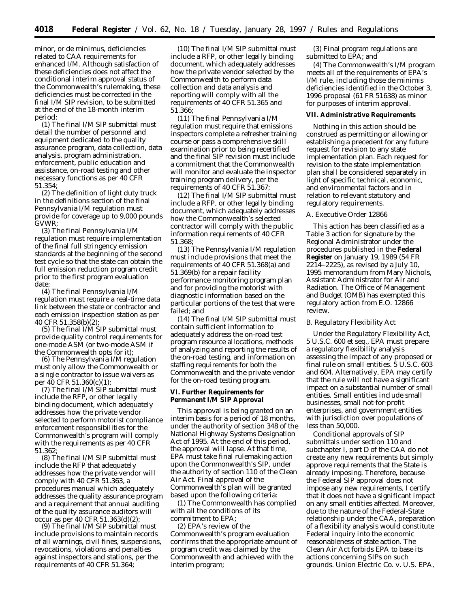minor, or *de minimus,* deficiencies related to CAA requirements for enhanced I/M. Although satisfaction of these deficiencies does not affect the conditional interim approval status of the Commonwealth's rulemaking, these deficiencies must be corrected in the final I/M SIP revision, to be submitted at the end of the 18-month interim period:

(1) The final I/M SIP submittal must detail the number of personnel and equipment dedicated to the quality assurance program, data collection, data analysis, program administration, enforcement, public education and assistance, on-road testing and other necessary functions as per 40 CFR 51.354;

(2) The definition of light duty truck in the definitions section of the final Pennsylvania I/M regulation must provide for coverage up to 9,000 pounds GVWR;

(3) The final Pennsylvania I/M regulation must require implementation of the final full stringency emission standards at the beginning of the second test cycle so that the state can obtain the full emission reduction program credit prior to the first program evaluation date;

(4) The final Pennsylvania I/M regulation must require a real-time data link between the state or contractor and each emission inspection station as per 40 CFR 51.358(b)(2);

(5) The final I/M SIP submittal must provide quality control requirements for one-mode ASM (or two-mode ASM if the Commonwealth opts for it);

(6) The Pennsylvania I/M regulation must *only* allow the Commonwealth or a single contractor to issue waivers as per 40 CFR 51.360(c)(1);

(7) The final I/M SIP submittal must include the RFP, or other legally binding document, which adequately addresses how the private vendor selected to perform motorist compliance enforcement responsibilities for the Commonwealth's program will comply with the requirements as per 40 CFR 51.362;

(8) The final I/M SIP submittal must include the RFP that adequately addresses how the private vendor will comply with 40 CFR 51.363, a procedures manual which adequately addresses the quality assurance program and a requirement that annual auditing of the quality assurance auditors will occur as per 40 CFR 51.363(d)(2);

(9) The final I/M SIP submittal must include provisions to maintain records of all warnings, civil fines, suspensions, revocations, violations and penalties against inspectors and stations, per the requirements of 40 CFR 51.364;

(10) The final I/M SIP submittal must include a RFP, or other legally binding document, which adequately addresses how the private vendor selected by the Commonwealth to perform data collection and data analysis and reporting will comply with all the requirements of 40 CFR 51.365 and 51.366;

(11) The final Pennsylvania I/M regulation must require that emissions inspectors complete a refresher training course or pass a comprehensive skill examination prior to being recertified and the final SIP revision must include a commitment that the Commonwealth will monitor and evaluate the inspector training program delivery, per the requirements of 40 CFR 51.367;

(12) The final I/M SIP submittal must include a RFP, or other legally binding document, which adequately addresses how the Commonwealth's selected contractor will comply with the public information requirements of 40 CFR 51.368;

(13) The Pennsylvania I/M regulation must include provisions that meet the requirements of 40 CFR 51.368(a) and 51.369(b) for a repair facility performance monitoring program plan and for providing the motorist with diagnostic information based on the particular portions of the test that were failed; and

(14) The final I/M SIP submittal must contain sufficient information to adequately address the on-road test program resource allocations, methods of analyzing and reporting the results of the on-road testing, and information on staffing requirements for both the Commonwealth and the private vendor for the on-road testing program.

### **VI. Further Requirements for Permanent I/M SIP Approval**

This approval is being granted on an interim basis for a period of 18 months, under the authority of section 348 of the National Highway Systems Designation Act of 1995. At the end of this period, the approval will lapse. At that time, EPA must take final rulemaking action upon the Commonwealth's SIP, under the authority of section 110 of the Clean Air Act. Final approval of the Commonwealth's plan will be granted based upon the following criteria:

(1) The Commonwealth has complied with all the conditions of its commitment to EPA;

(2) EPA's review of the Commonwealth's program evaluation confirms that the appropriate amount of program credit was claimed by the Commonwealth and achieved with the interim program;

(3) Final program regulations are submitted to EPA; and

(4) The Commonwealth's I/M program meets all of the requirements of EPA's I/M rule, including those de minimis deficiencies identified in the October 3, 1996 proposal (61 FR 51638) as minor for purposes of interim approval.

### **VII. Administrative Requirements**

Nothing in this action should be construed as permitting or allowing or establishing a precedent for any future request for revision to any state implementation plan. Each request for revision to the state implementation plan shall be considered separately in light of specific technical, economic, and environmental factors and in relation to relevant statutory and regulatory requirements.

### *A. Executive Order 12866*

This action has been classified as a Table 3 action for signature by the Regional Administrator under the procedures published in the **Federal Register** on January 19, 1989 (54 FR 2214–2225), as revised by a July 10, 1995 memorandum from Mary Nichols, Assistant Administrator for Air and Radiation. The Office of Management and Budget (OMB) has exempted this regulatory action from E.O. 12866 review.

#### *B. Regulatory Flexibility Act*

Under the Regulatory Flexibility Act, 5 U.S.C. 600 *et seq.*, EPA must prepare a regulatory flexibility analysis assessing the impact of any proposed or final rule on small entities. 5 U.S.C. 603 and 604. Alternatively, EPA may certify that the rule will not have a significant impact on a substantial number of small entities. Small entities include small businesses, small not-for-profit enterprises, and government entities with jurisdiction over populations of less than 50,000.

Conditional approvals of SIP submittals under section 110 and subchapter I, part D of the CAA do not create any new requirements but simply approve requirements that the State is already imposing. Therefore, because the Federal SIP approval does not impose any new requirements, I certify that it does not have a significant impact on any small entities affected. Moreover, due to the nature of the Federal-State relationship under the CAA, preparation of a flexibility analysis would constitute Federal inquiry into the economic reasonableness of state action. The Clean Air Act forbids EPA to base its actions concerning SIPs on such grounds. *Union Electric Co.* v. *U.S. EPA,*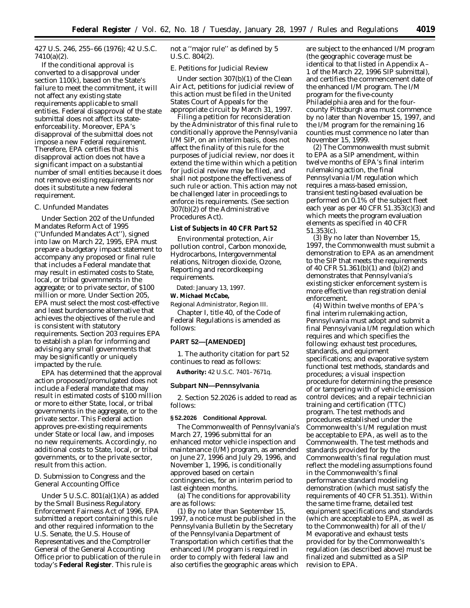427 U.S. 246, 255–66 (1976); 42 U.S.C. 7410(a)(2).

If the conditional approval is converted to a disapproval under section 110(k), based on the State's failure to meet the commitment, it will not affect any existing state requirements applicable to small entities. Federal disapproval of the state submittal does not affect its stateenforceability. Moreover, EPA's disapproval of the submittal does not impose a new Federal requirement. Therefore, EPA certifies that this disapproval action does not have a significant impact on a substantial number of small entities because it does not remove existing requirements nor does it substitute a new federal requirement.

### *C. Unfunded Mandates*

Under Section 202 of the Unfunded Mandates Reform Act of 1995 (''Unfunded Mandates Act''), signed into law on March 22, 1995, EPA must prepare a budgetary impact statement to accompany any proposed or final rule that includes a Federal mandate that may result in estimated costs to State, local, or tribal governments in the aggregate; or to private sector, of \$100 million or more. Under Section 205, EPA must select the most cost-effective and least burdensome alternative that achieves the objectives of the rule and is consistent with statutory requirements. Section 203 requires EPA to establish a plan for informing and advising any small governments that may be significantly or uniquely impacted by the rule.

EPA has determined that the approval action proposed/promulgated does not include a Federal mandate that may result in estimated costs of \$100 million or more to either State, local, or tribal governments in the aggregate, or to the private sector. This Federal action approves pre-existing requirements under State or local law, and imposes no new requirements. Accordingly, no additional costs to State, local, or tribal governments, or to the private sector, result from this action.

# *D. Submission to Congress and the General Accounting Office*

Under 5 U.S.C. 801(a)(1)(A) as added by the Small Business Regulatory Enforcement Fairness Act of 1996, EPA submitted a report containing this rule and other required information to the U.S. Senate, the U.S. House of Representatives and the Comptroller General of the General Accounting Office prior to publication of the rule in today's **Federal Register**. This rule is

not a ''major rule'' as defined by 5 U.S.C. 804(2).

### *E. Petitions for Judicial Review*

Under section 307(b)(1) of the Clean Air Act, petitions for judicial review of this action must be filed in the United States Court of Appeals for the appropriate circuit by March 31, 1997.

Filing a petition for reconsideration by the Administrator of this final rule to conditionally approve the Pennsylvania I/M SIP, on an interim basis, does not affect the finality of this rule for the purposes of judicial review, nor does it extend the time within which a petition for judicial review may be filed, and shall not postpone the effectiveness of such rule or action. This action may not be challenged later in proceedings to enforce its requirements. (See section 307(b)(2) of the Administrative Procedures Act).

#### **List of Subjects in 40 CFR Part 52**

Environmental protection, Air pollution control, Carbon monoxide, Hydrocarbons, Intergovernmental relations, Nitrogen dioxide, Ozone, Reporting and recordkeeping requirements.

Dated: January 13, 1997.

**W. Michael McCabe,**

*Regional Administrator, Region III.* Chapter I, title 40, of the Code of Federal Regulations is amended as follows:

#### **PART 52—[AMENDED]**

1. The authority citation for part 52 continues to read as follows:

**Authority:** 42 U.S.C. 7401–7671q.

#### **Subpart NN—Pennsylvania**

2. Section 52.2026 is added to read as follows:

### **§ 52.2026 Conditional Approval.**

The Commonwealth of Pennsylvania's March 27, 1996 submittal for an enhanced motor vehicle inspection and maintenance (I/M) program, as amended on June 27, 1996 and July 29, 1996, and November 1, 1996, is conditionally approved based on certain contingencies, for an interim period to last eighteen months.

(a) The conditions for approvability are as follows:

(1) By no later than September 15, 1997, a notice must be published in the *Pennsylvania Bulletin* by the Secretary of the Pennsylvania Department of Transportation which certifies that the enhanced I/M program is required in order to comply with federal law and also certifies the geographic areas which are subject to the enhanced I/M program (the geographic coverage must be identical to that listed in Appendix A– 1 of the March 22, 1996 SIP submittal), and certifies the commencement date of the enhanced I/M program. The I/M program for the five-county Philadelphia area and for the fourcounty Pittsburgh area must commence by no later than November 15, 1997, and the I/M program for the remaining 16 counties must commence no later than November 15, 1999.

(2) The Commonwealth must submit to EPA as a SIP amendment, within twelve months of EPA's final interim rulemaking action, the final Pennsylvania I/M regulation which requires a mass-based emission, transient testing-based evaluation be performed on 0.1% of the subject fleet each year as per 40 CFR 51.353(c)(3) and which meets the program evaluation elements as specified in 40 CFR 51.353(c).

(3) By no later than November 15, 1997, the Commonwealth must submit a demonstration to EPA as an amendment to the SIP that meets the requirements of 40 CFR 51.361(b)(1) and (b)(2) and demonstrates that Pennsylvania's existing sticker enforcement system is more effective than registration denial enforcement.

(4) Within twelve months of EPA's final interim rulemaking action, Pennsylvania must adopt and submit a final Pennsylvania I/M regulation which requires and which specifies the following: exhaust test procedures, standards, and equipment specifications; and evaporative system functional test methods, standards and procedures; a visual inspection procedure for determining the presence of or tampering with of vehicle emission control devices; and a repair technician training and certification (TTC) program. The test methods and procedures established under the Commonwealth's I/M regulation must be acceptable to EPA, as well as to the Commonwealth. The test methods and standards provided for by the Commonwealth's final regulation must reflect the modeling assumptions found in the Commonwealth's final performance standard modeling demonstration (which must satisfy the requirements of 40 CFR 51.351). Within the same time frame, detailed test equipment specifications and standards (which are acceptable to EPA, as well as to the Commonwealth) for all of the I/ M evaporative and exhaust tests provided for by the Commonwealth's regulation (as described above) must be finalized and submitted as a SIP revision to EPA.